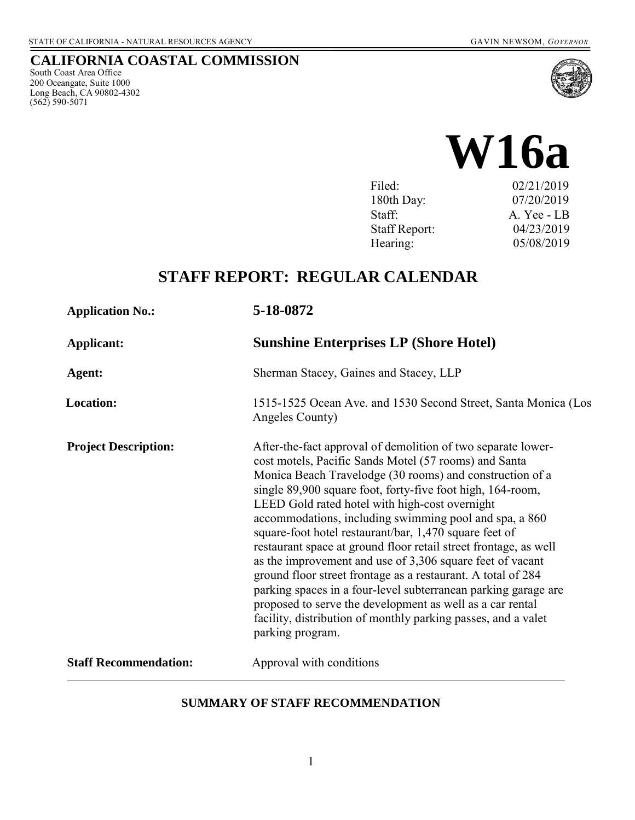### **CALIFORNIA COASTAL COMMISSION**

South Coast Area Office 200 Oceangate, Suite 1000 Long Beach, CA 90802-4302 (562) 590-5071



| Filed:               | 02/21/2019  |
|----------------------|-------------|
| 180th Day:           | 07/20/2019  |
| Staff:               | A. Yee - LB |
| <b>Staff Report:</b> | 04/23/2019  |
| Hearing:             | 05/08/2019  |
|                      |             |

# **STAFF REPORT: REGULAR CALENDAR**

| <b>Application No.:</b>      | 5-18-0872                                                                                                                                                                                                                                                                                                                                                                                                                                                                                                                                                                                                                                                                                                                                                                                                                                  |  |
|------------------------------|--------------------------------------------------------------------------------------------------------------------------------------------------------------------------------------------------------------------------------------------------------------------------------------------------------------------------------------------------------------------------------------------------------------------------------------------------------------------------------------------------------------------------------------------------------------------------------------------------------------------------------------------------------------------------------------------------------------------------------------------------------------------------------------------------------------------------------------------|--|
| Applicant:                   | <b>Sunshine Enterprises LP (Shore Hotel)</b>                                                                                                                                                                                                                                                                                                                                                                                                                                                                                                                                                                                                                                                                                                                                                                                               |  |
| Agent:                       | Sherman Stacey, Gaines and Stacey, LLP                                                                                                                                                                                                                                                                                                                                                                                                                                                                                                                                                                                                                                                                                                                                                                                                     |  |
| <b>Location:</b>             | 1515-1525 Ocean Ave. and 1530 Second Street, Santa Monica (Los<br>Angeles County)                                                                                                                                                                                                                                                                                                                                                                                                                                                                                                                                                                                                                                                                                                                                                          |  |
| <b>Project Description:</b>  | After-the-fact approval of demolition of two separate lower-<br>cost motels, Pacific Sands Motel (57 rooms) and Santa<br>Monica Beach Travelodge (30 rooms) and construction of a<br>single 89,900 square foot, forty-five foot high, 164-room,<br>LEED Gold rated hotel with high-cost overnight<br>accommodations, including swimming pool and spa, a 860<br>square-foot hotel restaurant/bar, 1,470 square feet of<br>restaurant space at ground floor retail street frontage, as well<br>as the improvement and use of 3,306 square feet of vacant<br>ground floor street frontage as a restaurant. A total of 284<br>parking spaces in a four-level subterranean parking garage are<br>proposed to serve the development as well as a car rental<br>facility, distribution of monthly parking passes, and a valet<br>parking program. |  |
| <b>Staff Recommendation:</b> | Approval with conditions                                                                                                                                                                                                                                                                                                                                                                                                                                                                                                                                                                                                                                                                                                                                                                                                                   |  |
|                              |                                                                                                                                                                                                                                                                                                                                                                                                                                                                                                                                                                                                                                                                                                                                                                                                                                            |  |

### **SUMMARY OF STAFF RECOMMENDATION**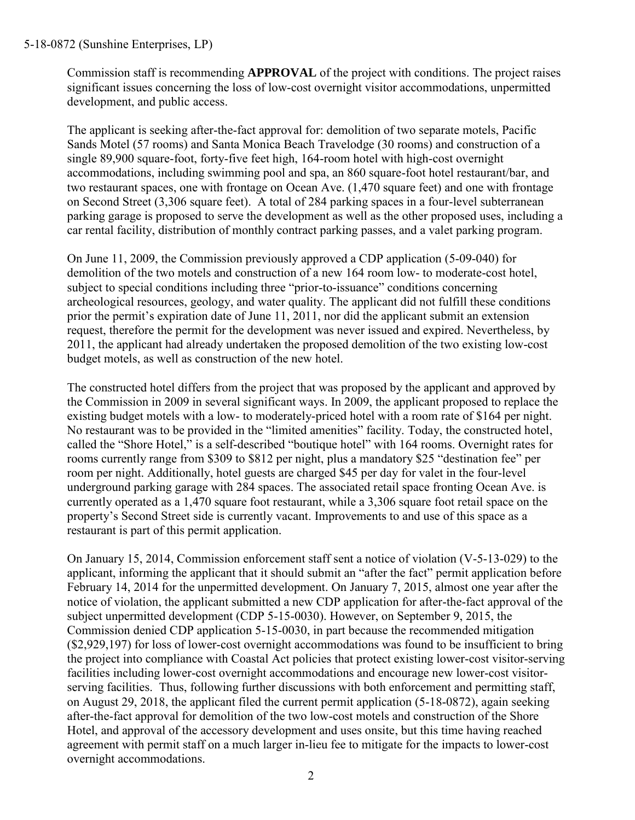Commission staff is recommending **APPROVAL** of the project with conditions. The project raises significant issues concerning the loss of low-cost overnight visitor accommodations, unpermitted development, and public access.

The applicant is seeking after-the-fact approval for: demolition of two separate motels, Pacific Sands Motel (57 rooms) and Santa Monica Beach Travelodge (30 rooms) and construction of a single 89,900 square-foot, forty-five feet high, 164-room hotel with high-cost overnight accommodations, including swimming pool and spa, an 860 square-foot hotel restaurant/bar, and two restaurant spaces, one with frontage on Ocean Ave. (1,470 square feet) and one with frontage on Second Street (3,306 square feet). A total of 284 parking spaces in a four-level subterranean parking garage is proposed to serve the development as well as the other proposed uses, including a car rental facility, distribution of monthly contract parking passes, and a valet parking program.

On June 11, 2009, the Commission previously approved a CDP application (5-09-040) for demolition of the two motels and construction of a new 164 room low- to moderate-cost hotel, subject to special conditions including three "prior-to-issuance" conditions concerning archeological resources, geology, and water quality. The applicant did not fulfill these conditions prior the permit's expiration date of June 11, 2011, nor did the applicant submit an extension request, therefore the permit for the development was never issued and expired. Nevertheless, by 2011, the applicant had already undertaken the proposed demolition of the two existing low-cost budget motels, as well as construction of the new hotel.

The constructed hotel differs from the project that was proposed by the applicant and approved by the Commission in 2009 in several significant ways. In 2009, the applicant proposed to replace the existing budget motels with a low- to moderately-priced hotel with a room rate of \$164 per night. No restaurant was to be provided in the "limited amenities" facility. Today, the constructed hotel, called the "Shore Hotel," is a self-described "boutique hotel" with 164 rooms. Overnight rates for rooms currently range from \$309 to \$812 per night, plus a mandatory \$25 "destination fee" per room per night. Additionally, hotel guests are charged \$45 per day for valet in the four-level underground parking garage with 284 spaces. The associated retail space fronting Ocean Ave. is currently operated as a 1,470 square foot restaurant, while a 3,306 square foot retail space on the property's Second Street side is currently vacant. Improvements to and use of this space as a restaurant is part of this permit application.

On January 15, 2014, Commission enforcement staff sent a notice of violation (V-5-13-029) to the applicant, informing the applicant that it should submit an "after the fact" permit application before February 14, 2014 for the unpermitted development. On January 7, 2015, almost one year after the notice of violation, the applicant submitted a new CDP application for after-the-fact approval of the subject unpermitted development (CDP 5-15-0030). However, on September 9, 2015, the Commission denied CDP application 5-15-0030, in part because the recommended mitigation (\$2,929,197) for loss of lower-cost overnight accommodations was found to be insufficient to bring the project into compliance with Coastal Act policies that protect existing lower-cost visitor-serving facilities including lower-cost overnight accommodations and encourage new lower-cost visitorserving facilities. Thus, following further discussions with both enforcement and permitting staff, on August 29, 2018, the applicant filed the current permit application (5-18-0872), again seeking after-the-fact approval for demolition of the two low-cost motels and construction of the Shore Hotel, and approval of the accessory development and uses onsite, but this time having reached agreement with permit staff on a much larger in-lieu fee to mitigate for the impacts to lower-cost overnight accommodations.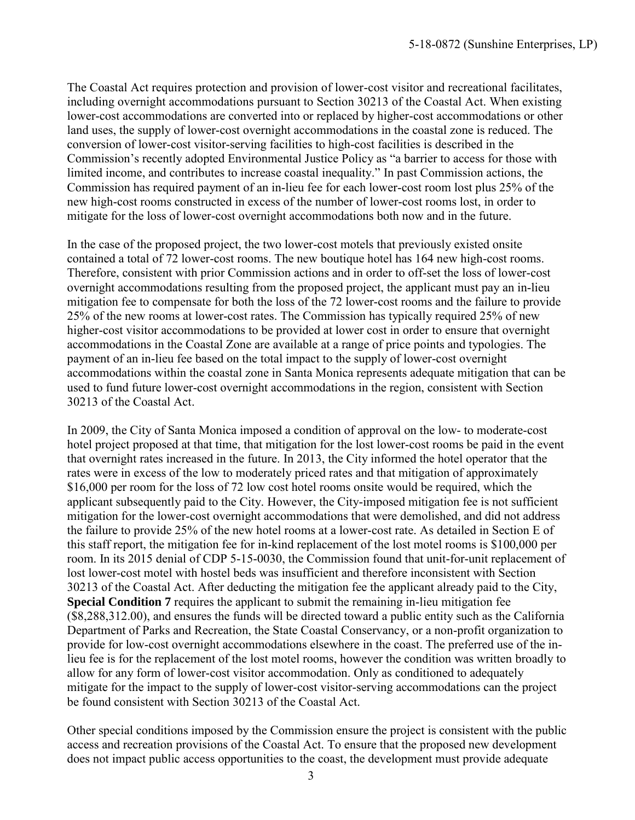The Coastal Act requires protection and provision of lower-cost visitor and recreational facilitates, including overnight accommodations pursuant to Section 30213 of the Coastal Act. When existing lower-cost accommodations are converted into or replaced by higher-cost accommodations or other land uses, the supply of lower-cost overnight accommodations in the coastal zone is reduced. The conversion of lower-cost visitor-serving facilities to high-cost facilities is described in the Commission's recently adopted Environmental Justice Policy as "a barrier to access for those with limited income, and contributes to increase coastal inequality." In past Commission actions, the Commission has required payment of an in-lieu fee for each lower-cost room lost plus 25% of the new high-cost rooms constructed in excess of the number of lower-cost rooms lost, in order to mitigate for the loss of lower-cost overnight accommodations both now and in the future.

In the case of the proposed project, the two lower-cost motels that previously existed onsite contained a total of 72 lower-cost rooms. The new boutique hotel has 164 new high-cost rooms. Therefore, consistent with prior Commission actions and in order to off-set the loss of lower-cost overnight accommodations resulting from the proposed project, the applicant must pay an in-lieu mitigation fee to compensate for both the loss of the 72 lower-cost rooms and the failure to provide 25% of the new rooms at lower-cost rates. The Commission has typically required 25% of new higher-cost visitor accommodations to be provided at lower cost in order to ensure that overnight accommodations in the Coastal Zone are available at a range of price points and typologies. The payment of an in-lieu fee based on the total impact to the supply of lower-cost overnight accommodations within the coastal zone in Santa Monica represents adequate mitigation that can be used to fund future lower-cost overnight accommodations in the region, consistent with Section 30213 of the Coastal Act.

In 2009, the City of Santa Monica imposed a condition of approval on the low- to moderate-cost hotel project proposed at that time, that mitigation for the lost lower-cost rooms be paid in the event that overnight rates increased in the future. In 2013, the City informed the hotel operator that the rates were in excess of the low to moderately priced rates and that mitigation of approximately \$16,000 per room for the loss of 72 low cost hotel rooms onsite would be required, which the applicant subsequently paid to the City. However, the City-imposed mitigation fee is not sufficient mitigation for the lower-cost overnight accommodations that were demolished, and did not address the failure to provide 25% of the new hotel rooms at a lower-cost rate. As detailed in Section E of this staff report, the mitigation fee for in-kind replacement of the lost motel rooms is \$100,000 per room. In its 2015 denial of CDP 5-15-0030, the Commission found that unit-for-unit replacement of lost lower-cost motel with hostel beds was insufficient and therefore inconsistent with Section 30213 of the Coastal Act. After deducting the mitigation fee the applicant already paid to the City, **Special Condition 7** requires the applicant to submit the remaining in-lieu mitigation fee (\$8,288,312.00), and ensures the funds will be directed toward a public entity such as the California Department of Parks and Recreation, the State Coastal Conservancy, or a non-profit organization to provide for low-cost overnight accommodations elsewhere in the coast. The preferred use of the inlieu fee is for the replacement of the lost motel rooms, however the condition was written broadly to allow for any form of lower-cost visitor accommodation. Only as conditioned to adequately mitigate for the impact to the supply of lower-cost visitor-serving accommodations can the project be found consistent with Section 30213 of the Coastal Act.

Other special conditions imposed by the Commission ensure the project is consistent with the public access and recreation provisions of the Coastal Act. To ensure that the proposed new development does not impact public access opportunities to the coast, the development must provide adequate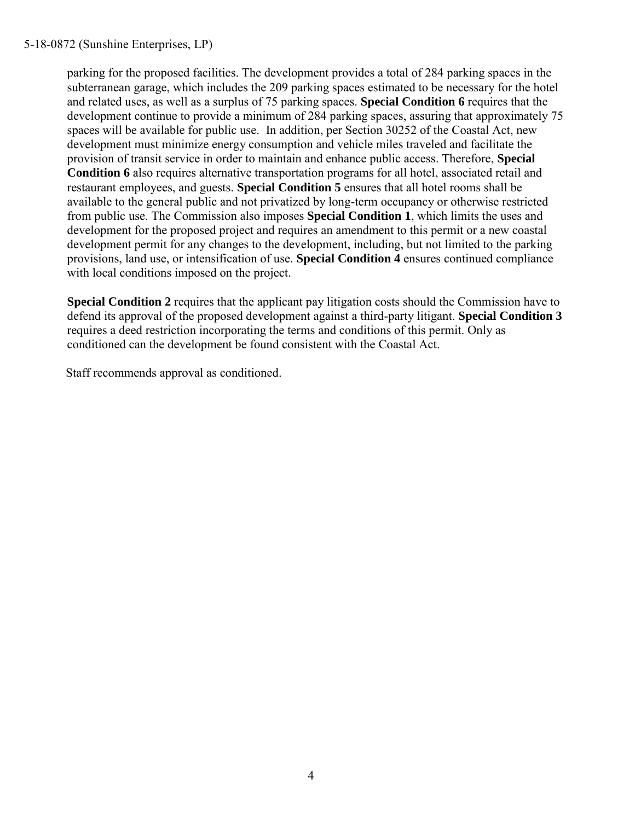parking for the proposed facilities. The development provides a total of 284 parking spaces in the subterranean garage, which includes the 209 parking spaces estimated to be necessary for the hotel and related uses, as well as a surplus of 75 parking spaces. **Special Condition 6** requires that the development continue to provide a minimum of 284 parking spaces, assuring that approximately 75 spaces will be available for public use. In addition, per Section 30252 of the Coastal Act, new development must minimize energy consumption and vehicle miles traveled and facilitate the provision of transit service in order to maintain and enhance public access. Therefore, **Special Condition 6** also requires alternative transportation programs for all hotel, associated retail and restaurant employees, and guests. **Special Condition 5** ensures that all hotel rooms shall be available to the general public and not privatized by long-term occupancy or otherwise restricted from public use. The Commission also imposes **Special Condition 1**, which limits the uses and development for the proposed project and requires an amendment to this permit or a new coastal development permit for any changes to the development, including, but not limited to the parking provisions, land use, or intensification of use. **Special Condition 4** ensures continued compliance with local conditions imposed on the project.

**Special Condition 2** requires that the applicant pay litigation costs should the Commission have to defend its approval of the proposed development against a third-party litigant. **Special Condition 3**  requires a deed restriction incorporating the terms and conditions of this permit. Only as conditioned can the development be found consistent with the Coastal Act.

Staff recommends approval as conditioned.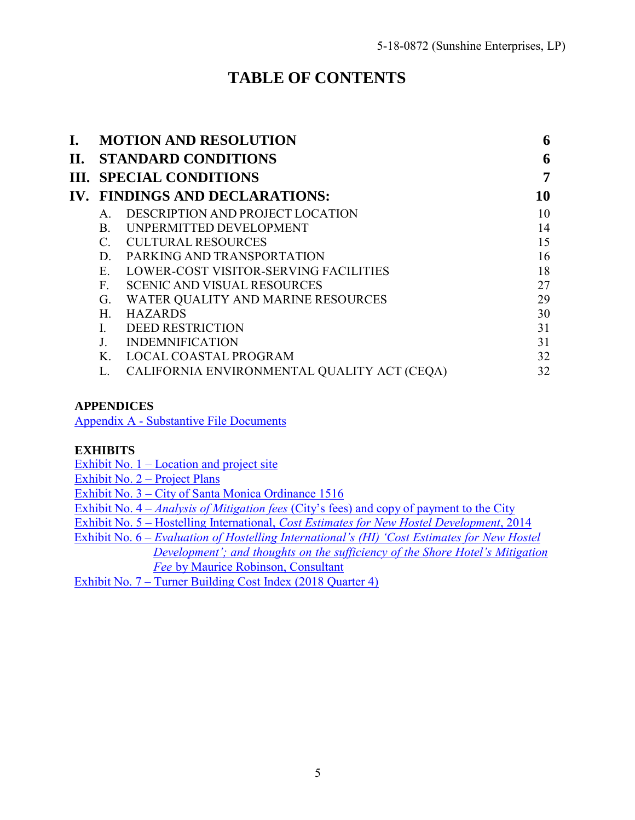# **TABLE OF CONTENTS**

| I. |              | <b>MOTION AND RESOLUTION</b>                | 6  |
|----|--------------|---------------------------------------------|----|
|    |              | <b>II. STANDARD CONDITIONS</b>              | 6  |
|    |              | <b>III. SPECIAL CONDITIONS</b>              | 7  |
|    |              | IV. FINDINGS AND DECLARATIONS:              | 10 |
|    | $A_{\cdot}$  | DESCRIPTION AND PROJECT LOCATION            | 10 |
|    | B.           | UNPERMITTED DEVELOPMENT                     | 14 |
|    | $C_{\cdot}$  | <b>CULTURAL RESOURCES</b>                   | 15 |
|    | D.           | PARKING AND TRANSPORTATION                  | 16 |
|    | E            | LOWER-COST VISITOR-SERVING FACILITIES       | 18 |
|    | $F_{\rm{f}}$ | <b>SCENIC AND VISUAL RESOURCES</b>          | 27 |
|    | G.           | WATER QUALITY AND MARINE RESOURCES          | 29 |
|    | H.           | <b>HAZARDS</b>                              | 30 |
|    |              | <b>DEED RESTRICTION</b>                     | 31 |
|    |              | <b>INDEMNIFICATION</b>                      | 31 |
|    | K.           | <b>LOCAL COASTAL PROGRAM</b>                | 32 |
|    |              | CALIFORNIA ENVIRONMENTAL QUALITY ACT (CEQA) | 32 |
|    |              |                                             |    |

### **APPENDICES**

[Appendix A - Substantive File Documents](https://documents.coastal.ca.gov/reports/2019/5/W16a/W16a-5-2019-appendix.pdf)

#### **EXHIBITS**

Exhibit No.  $1 -$ Location and project site

[Exhibit No. 2 –](https://documents.coastal.ca.gov/reports/2019/5/W16a/W16a-5-2019-exhibits.pdf) Project Plans

Exhibit No. 3 – [City of Santa Monica Ordinance 1516](https://documents.coastal.ca.gov/reports/2019/5/W16a/W16a-5-2019-exhibits.pdf)

Exhibit No. 4 – *Analysis of Mitigation fees* [\(City's fees\) and copy of payment to the City](https://documents.coastal.ca.gov/reports/2019/5/W16a/W16a-5-2019-exhibits.pdf) 

Exhibit No. 5 – Hostelling International, *[Cost Estimates for New Hostel Development](https://documents.coastal.ca.gov/reports/2019/5/W16a/W16a-5-2019-exhibits.pdf)*, 2014

Exhibit No. 6 – *[Evaluation of Hostelling International's \(HI\) 'Cost Estimates for New Hostel](https://documents.coastal.ca.gov/reports/2019/5/W16a/W16a-5-2019-exhibits.pdf)  [Development'; and thoughts on the sufficiency of the Shore Hotel's Mitigation](https://documents.coastal.ca.gov/reports/2019/5/W16a/W16a-5-2019-exhibits.pdf)  Fee* [by Maurice Robinson, Consultant](https://documents.coastal.ca.gov/reports/2019/5/W16a/W16a-5-2019-exhibits.pdf) 

[Exhibit No. 7 – Turner Building Cost Index \(2018 Quarter 4\)](https://documents.coastal.ca.gov/reports/2019/5/W16a/W16a-5-2019-exhibits.pdf)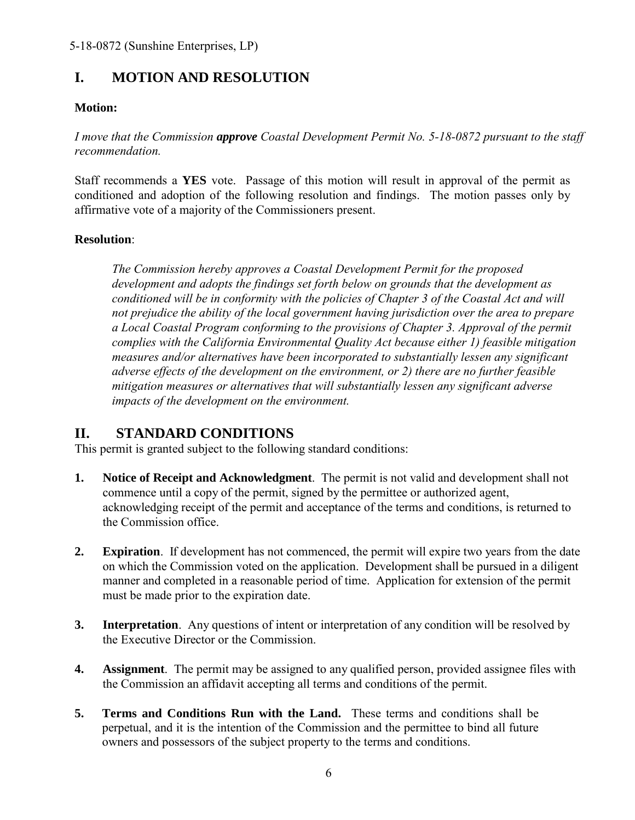# <span id="page-5-0"></span>**I. MOTION AND RESOLUTION**

### **Motion:**

*I move that the Commission approve Coastal Development Permit No. 5-18-0872 pursuant to the staff recommendation.*

Staff recommends a **YES** vote. Passage of this motion will result in approval of the permit as conditioned and adoption of the following resolution and findings. The motion passes only by affirmative vote of a majority of the Commissioners present.

### **Resolution**:

*The Commission hereby approves a Coastal Development Permit for the proposed development and adopts the findings set forth below on grounds that the development as conditioned will be in conformity with the policies of Chapter 3 of the Coastal Act and will not prejudice the ability of the local government having jurisdiction over the area to prepare a Local Coastal Program conforming to the provisions of Chapter 3. Approval of the permit complies with the California Environmental Quality Act because either 1) feasible mitigation measures and/or alternatives have been incorporated to substantially lessen any significant adverse effects of the development on the environment, or 2) there are no further feasible mitigation measures or alternatives that will substantially lessen any significant adverse impacts of the development on the environment.*

### <span id="page-5-1"></span>**II. STANDARD CONDITIONS**

This permit is granted subject to the following standard conditions:

- **1. Notice of Receipt and Acknowledgment**. The permit is not valid and development shall not commence until a copy of the permit, signed by the permittee or authorized agent, acknowledging receipt of the permit and acceptance of the terms and conditions, is returned to the Commission office.
- **2. Expiration**. If development has not commenced, the permit will expire two years from the date on which the Commission voted on the application. Development shall be pursued in a diligent manner and completed in a reasonable period of time. Application for extension of the permit must be made prior to the expiration date.
- **3.** Interpretation. Any questions of intent or interpretation of any condition will be resolved by the Executive Director or the Commission.
- **4. Assignment**. The permit may be assigned to any qualified person, provided assignee files with the Commission an affidavit accepting all terms and conditions of the permit.
- **5. Terms and Conditions Run with the Land.** These terms and conditions shall be perpetual, and it is the intention of the Commission and the permittee to bind all future owners and possessors of the subject property to the terms and conditions.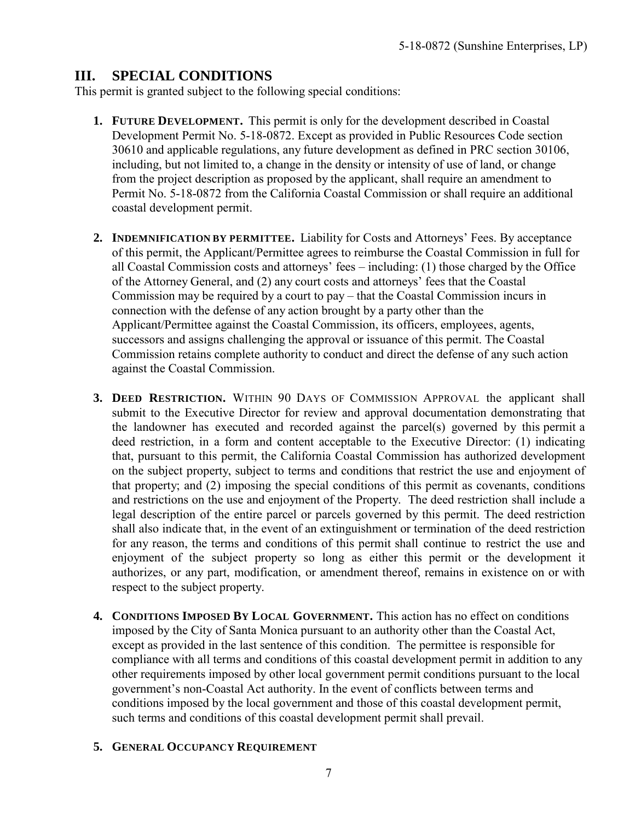## <span id="page-6-0"></span>**III. SPECIAL CONDITIONS**

This permit is granted subject to the following special conditions:

- **1. FUTURE DEVELOPMENT.** This permit is only for the development described in Coastal Development Permit No. 5-18-0872. Except as provided in Public Resources Code section 30610 and applicable regulations, any future development as defined in PRC section 30106, including, but not limited to, a change in the density or intensity of use of land, or change from the project description as proposed by the applicant, shall require an amendment to Permit No. 5-18-0872 from the California Coastal Commission or shall require an additional coastal development permit.
- **2. INDEMNIFICATION BY PERMITTEE.** Liability for Costs and Attorneys' Fees. By acceptance of this permit, the Applicant/Permittee agrees to reimburse the Coastal Commission in full for all Coastal Commission costs and attorneys' fees – including: (1) those charged by the Office of the Attorney General, and (2) any court costs and attorneys' fees that the Coastal Commission may be required by a court to pay – that the Coastal Commission incurs in connection with the defense of any action brought by a party other than the Applicant/Permittee against the Coastal Commission, its officers, employees, agents, successors and assigns challenging the approval or issuance of this permit. The Coastal Commission retains complete authority to conduct and direct the defense of any such action against the Coastal Commission.
- **3. DEED RESTRICTION.** WITHIN 90 DAYS OF COMMISSION APPROVAL the applicant shall submit to the Executive Director for review and approval documentation demonstrating that the landowner has executed and recorded against the parcel(s) governed by this permit a deed restriction, in a form and content acceptable to the Executive Director: (1) indicating that, pursuant to this permit, the California Coastal Commission has authorized development on the subject property, subject to terms and conditions that restrict the use and enjoyment of that property; and (2) imposing the special conditions of this permit as covenants, conditions and restrictions on the use and enjoyment of the Property. The deed restriction shall include a legal description of the entire parcel or parcels governed by this permit. The deed restriction shall also indicate that, in the event of an extinguishment or termination of the deed restriction for any reason, the terms and conditions of this permit shall continue to restrict the use and enjoyment of the subject property so long as either this permit or the development it authorizes, or any part, modification, or amendment thereof, remains in existence on or with respect to the subject property.
- **4. CONDITIONS IMPOSED BY LOCAL GOVERNMENT.** This action has no effect on conditions imposed by the City of Santa Monica pursuant to an authority other than the Coastal Act, except as provided in the last sentence of this condition. The permittee is responsible for compliance with all terms and conditions of this coastal development permit in addition to any other requirements imposed by other local government permit conditions pursuant to the local government's non-Coastal Act authority. In the event of conflicts between terms and conditions imposed by the local government and those of this coastal development permit, such terms and conditions of this coastal development permit shall prevail.

### **5. GENERAL OCCUPANCY REQUIREMENT**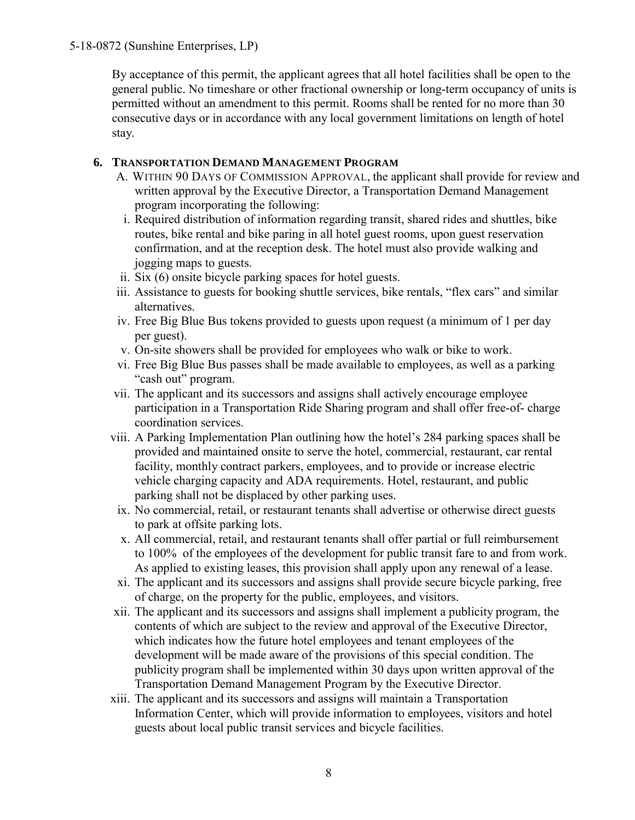By acceptance of this permit, the applicant agrees that all hotel facilities shall be open to the general public. No timeshare or other fractional ownership or long-term occupancy of units is permitted without an amendment to this permit. Rooms shall be rented for no more than 30 consecutive days or in accordance with any local government limitations on length of hotel stay.

### **6. TRANSPORTATION DEMAND MANAGEMENT PROGRAM**

- A. WITHIN 90 DAYS OF COMMISSION APPROVAL, the applicant shall provide for review and written approval by the Executive Director, a Transportation Demand Management program incorporating the following:
- i. Required distribution of information regarding transit, shared rides and shuttles, bike routes, bike rental and bike paring in all hotel guest rooms, upon guest reservation confirmation, and at the reception desk. The hotel must also provide walking and jogging maps to guests.
- ii. Six (6) onsite bicycle parking spaces for hotel guests.
- iii. Assistance to guests for booking shuttle services, bike rentals, "flex cars" and similar alternatives.
- iv. Free Big Blue Bus tokens provided to guests upon request (a minimum of 1 per day per guest).
- v. On-site showers shall be provided for employees who walk or bike to work.
- vi. Free Big Blue Bus passes shall be made available to employees, as well as a parking "cash out" program.
- vii. The applicant and its successors and assigns shall actively encourage employee participation in a Transportation Ride Sharing program and shall offer free-of- charge coordination services.
- viii. A Parking Implementation Plan outlining how the hotel's 284 parking spaces shall be provided and maintained onsite to serve the hotel, commercial, restaurant, car rental facility, monthly contract parkers, employees, and to provide or increase electric vehicle charging capacity and ADA requirements. Hotel, restaurant, and public parking shall not be displaced by other parking uses.
	- ix. No commercial, retail, or restaurant tenants shall advertise or otherwise direct guests to park at offsite parking lots.
	- x. All commercial, retail, and restaurant tenants shall offer partial or full reimbursement to 100% of the employees of the development for public transit fare to and from work. As applied to existing leases, this provision shall apply upon any renewal of a lease.
- xi. The applicant and its successors and assigns shall provide secure bicycle parking, free of charge, on the property for the public, employees, and visitors.
- xii. The applicant and its successors and assigns shall implement a publicity program, the contents of which are subject to the review and approval of the Executive Director, which indicates how the future hotel employees and tenant employees of the development will be made aware of the provisions of this special condition. The publicity program shall be implemented within 30 days upon written approval of the Transportation Demand Management Program by the Executive Director.
- xiii. The applicant and its successors and assigns will maintain a Transportation Information Center, which will provide information to employees, visitors and hotel guests about local public transit services and bicycle facilities.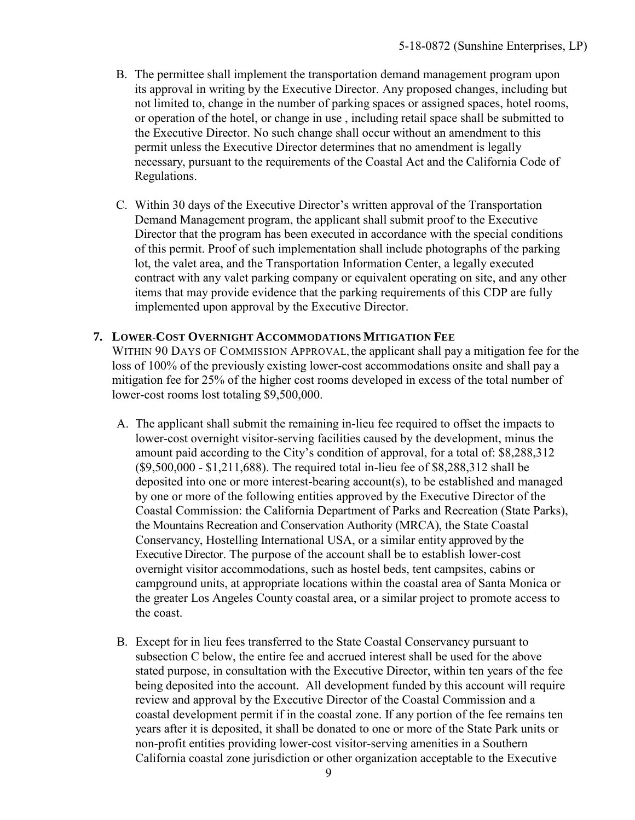- B. The permittee shall implement the transportation demand management program upon its approval in writing by the Executive Director. Any proposed changes, including but not limited to, change in the number of parking spaces or assigned spaces, hotel rooms, or operation of the hotel, or change in use , including retail space shall be submitted to the Executive Director. No such change shall occur without an amendment to this permit unless the Executive Director determines that no amendment is legally necessary, pursuant to the requirements of the Coastal Act and the California Code of Regulations.
- C. Within 30 days of the Executive Director's written approval of the Transportation Demand Management program, the applicant shall submit proof to the Executive Director that the program has been executed in accordance with the special conditions of this permit. Proof of such implementation shall include photographs of the parking lot, the valet area, and the Transportation Information Center, a legally executed contract with any valet parking company or equivalent operating on site, and any other items that may provide evidence that the parking requirements of this CDP are fully implemented upon approval by the Executive Director.

#### **7. LOWER-COST OVERNIGHT ACCOMMODATIONS MITIGATION FEE**

WITHIN 90 DAYS OF COMMISSION APPROVAL, the applicant shall pay a mitigation fee for the loss of 100% of the previously existing lower-cost accommodations onsite and shall pay a mitigation fee for 25% of the higher cost rooms developed in excess of the total number of lower-cost rooms lost totaling \$9,500,000.

- A. The applicant shall submit the remaining in-lieu fee required to offset the impacts to lower-cost overnight visitor-serving facilities caused by the development, minus the amount paid according to the City's condition of approval, for a total of: \$8,288,312 (\$9,500,000 - \$1,211,688). The required total in-lieu fee of \$8,288,312 shall be deposited into one or more interest-bearing account(s), to be established and managed by one or more of the following entities approved by the Executive Director of the Coastal Commission: the California Department of Parks and Recreation (State Parks), the Mountains Recreation and Conservation Authority (MRCA), the State Coastal Conservancy, Hostelling International USA, or a similar entity approved by the Executive Director. The purpose of the account shall be to establish lower-cost overnight visitor accommodations, such as hostel beds, tent campsites, cabins or campground units, at appropriate locations within the coastal area of Santa Monica or the greater Los Angeles County coastal area, or a similar project to promote access to the coast.
- B. Except for in lieu fees transferred to the State Coastal Conservancy pursuant to subsection C below, the entire fee and accrued interest shall be used for the above stated purpose, in consultation with the Executive Director, within ten years of the fee being deposited into the account. All development funded by this account will require review and approval by the Executive Director of the Coastal Commission and a coastal development permit if in the coastal zone. If any portion of the fee remains ten years after it is deposited, it shall be donated to one or more of the State Park units or non-profit entities providing lower-cost visitor-serving amenities in a Southern California coastal zone jurisdiction or other organization acceptable to the Executive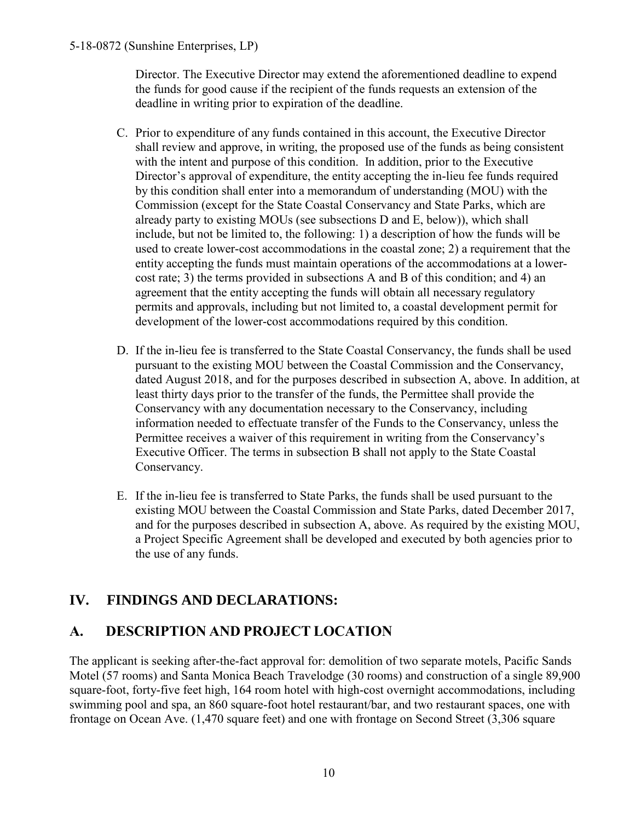Director. The Executive Director may extend the aforementioned deadline to expend the funds for good cause if the recipient of the funds requests an extension of the deadline in writing prior to expiration of the deadline.

- C. Prior to expenditure of any funds contained in this account, the Executive Director shall review and approve, in writing, the proposed use of the funds as being consistent with the intent and purpose of this condition. In addition, prior to the Executive Director's approval of expenditure, the entity accepting the in-lieu fee funds required by this condition shall enter into a memorandum of understanding (MOU) with the Commission (except for the State Coastal Conservancy and State Parks, which are already party to existing MOUs (see subsections D and E, below)), which shall include, but not be limited to, the following: 1) a description of how the funds will be used to create lower-cost accommodations in the coastal zone; 2) a requirement that the entity accepting the funds must maintain operations of the accommodations at a lowercost rate; 3) the terms provided in subsections A and B of this condition; and 4) an agreement that the entity accepting the funds will obtain all necessary regulatory permits and approvals, including but not limited to, a coastal development permit for development of the lower-cost accommodations required by this condition.
- D. If the in-lieu fee is transferred to the State Coastal Conservancy, the funds shall be used pursuant to the existing MOU between the Coastal Commission and the Conservancy, dated August 2018, and for the purposes described in subsection A, above. In addition, at least thirty days prior to the transfer of the funds, the Permittee shall provide the Conservancy with any documentation necessary to the Conservancy, including information needed to effectuate transfer of the Funds to the Conservancy, unless the Permittee receives a waiver of this requirement in writing from the Conservancy's Executive Officer. The terms in subsection B shall not apply to the State Coastal Conservancy.
- E. If the in-lieu fee is transferred to State Parks, the funds shall be used pursuant to the existing MOU between the Coastal Commission and State Parks, dated December 2017, and for the purposes described in subsection A, above. As required by the existing MOU, a Project Specific Agreement shall be developed and executed by both agencies prior to the use of any funds.

# <span id="page-9-0"></span>**IV. FINDINGS AND DECLARATIONS:**

# <span id="page-9-1"></span>**A. DESCRIPTION AND PROJECT LOCATION**

The applicant is seeking after-the-fact approval for: demolition of two separate motels, Pacific Sands Motel (57 rooms) and Santa Monica Beach Travelodge (30 rooms) and construction of a single 89,900 square-foot, forty-five feet high, 164 room hotel with high-cost overnight accommodations, including swimming pool and spa, an 860 square-foot hotel restaurant/bar, and two restaurant spaces, one with frontage on Ocean Ave. (1,470 square feet) and one with frontage on Second Street (3,306 square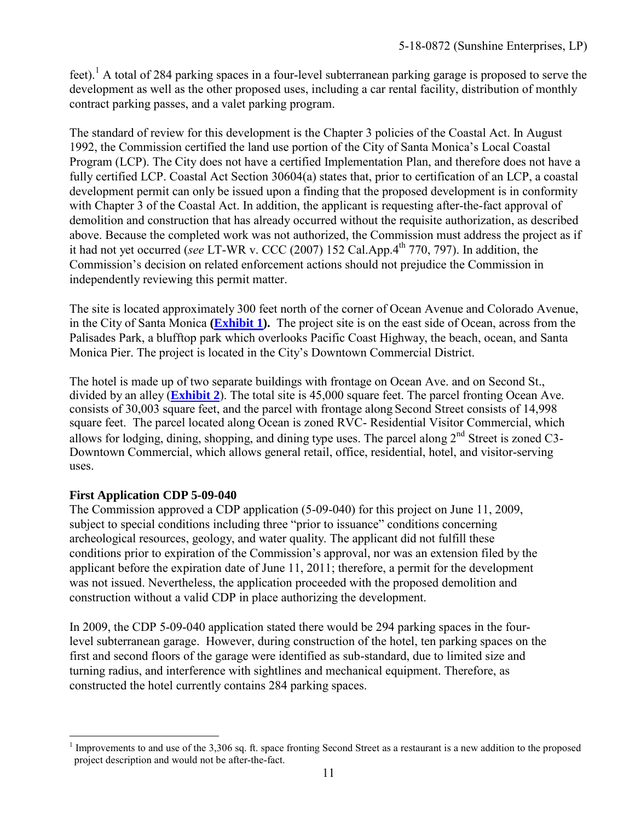feet).<sup>1</sup> A total of 284 parking spaces in a four-level subterranean parking garage is proposed to serve the development as well as the other proposed uses, including a car rental facility, distribution of monthly contract parking passes, and a valet parking program.

The standard of review for this development is the Chapter 3 policies of the Coastal Act. In August 1992, the Commission certified the land use portion of the City of Santa Monica's Local Coastal Program (LCP). The City does not have a certified Implementation Plan, and therefore does not have a fully certified LCP. Coastal Act Section 30604(a) states that, prior to certification of an LCP, a coastal development permit can only be issued upon a finding that the proposed development is in conformity with Chapter 3 of the Coastal Act. In addition, the applicant is requesting after-the-fact approval of demolition and construction that has already occurred without the requisite authorization, as described above. Because the completed work was not authorized, the Commission must address the project as if it had not yet occurred (*see* LT-WR v. CCC (2007) 152 Cal.App.4th 770, 797). In addition, the Commission's decision on related enforcement actions should not prejudice the Commission in independently reviewing this permit matter.

The site is located approximately 300 feet north of the corner of Ocean Avenue and Colorado Avenue, in the City of Santa Monica **[\(Exhibit 1\)](https://documents.coastal.ca.gov/reports/2019/5/W16a/W16a-5-2019-appendix.pdf).** The project site is on the east side of Ocean, across from the Palisades Park, a blufftop park which overlooks Pacific Coast Highway, the beach, ocean, and Santa Monica Pier. The project is located in the City's Downtown Commercial District.

The hotel is made up of two separate buildings with frontage on Ocean Ave. and on Second St., divided by an alley (**[Exhibit](https://documents.coastal.ca.gov/reports/2019/5/W16a/W16a-5-2019-appendix.pdf) 2**). The total site is 45,000 square feet. The parcel fronting Ocean Ave. consists of 30,003 square feet, and the parcel with frontage along Second Street consists of 14,998 square feet. The parcel located along Ocean is zoned RVC- Residential Visitor Commercial, which allows for lodging, dining, shopping, and dining type uses. The parcel along  $2<sup>nd</sup>$  Street is zoned C3-Downtown Commercial, which allows general retail, office, residential, hotel, and visitor-serving uses.

#### **First Application CDP 5-09-040**

The Commission approved a CDP application (5-09-040) for this project on June 11, 2009, subject to special conditions including three "prior to issuance" conditions concerning archeological resources, geology, and water quality. The applicant did not fulfill these conditions prior to expiration of the Commission's approval, nor was an extension filed by the applicant before the expiration date of June 11, 2011; therefore, a permit for the development was not issued. Nevertheless, the application proceeded with the proposed demolition and construction without a valid CDP in place authorizing the development.

In 2009, the CDP 5-09-040 application stated there would be 294 parking spaces in the fourlevel subterranean garage. However, during construction of the hotel, ten parking spaces on the first and second floors of the garage were identified as sub-standard, due to limited size and turning radius, and interference with sightlines and mechanical equipment. Therefore, as constructed the hotel currently contains 284 parking spaces.

 $\overline{a}$ <sup>1</sup> Improvements to and use of the 3,306 sq. ft. space fronting Second Street as a restaurant is a new addition to the proposed project description and would not be after-the-fact.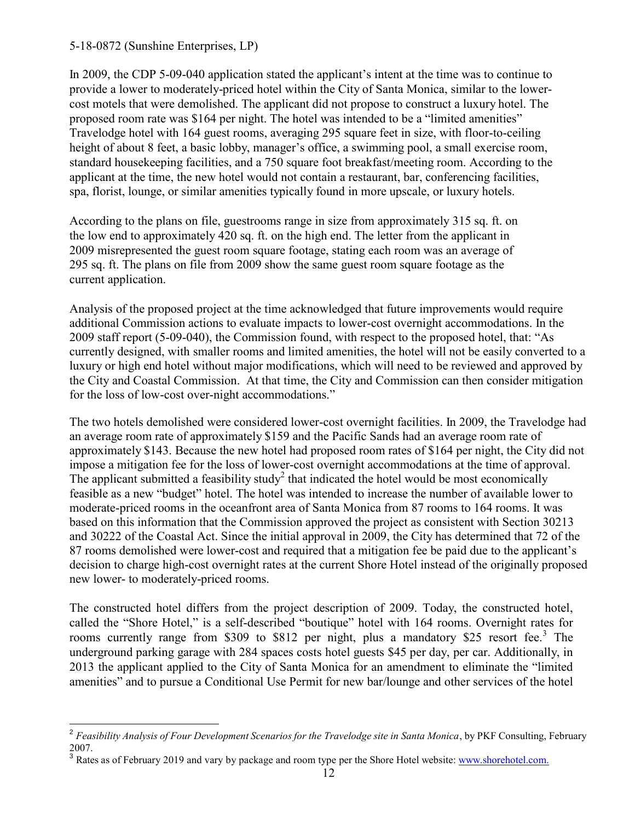In 2009, the CDP 5-09-040 application stated the applicant's intent at the time was to continue to provide a lower to moderately-priced hotel within the City of Santa Monica, similar to the lowercost motels that were demolished. The applicant did not propose to construct a luxury hotel. The proposed room rate was \$164 per night. The hotel was intended to be a "limited amenities" Travelodge hotel with 164 guest rooms, averaging 295 square feet in size, with floor-to-ceiling height of about 8 feet, a basic lobby, manager's office, a swimming pool, a small exercise room, standard housekeeping facilities, and a 750 square foot breakfast/meeting room. According to the applicant at the time, the new hotel would not contain a restaurant, bar, conferencing facilities, spa, florist, lounge, or similar amenities typically found in more upscale, or luxury hotels.

According to the plans on file, guestrooms range in size from approximately 315 sq. ft. on the low end to approximately 420 sq. ft. on the high end. The letter from the applicant in 2009 misrepresented the guest room square footage, stating each room was an average of 295 sq. ft. The plans on file from 2009 show the same guest room square footage as the current application.

Analysis of the proposed project at the time acknowledged that future improvements would require additional Commission actions to evaluate impacts to lower-cost overnight accommodations. In the 2009 staff report (5-09-040), the Commission found, with respect to the proposed hotel, that: "As currently designed, with smaller rooms and limited amenities, the hotel will not be easily converted to a luxury or high end hotel without major modifications, which will need to be reviewed and approved by the City and Coastal Commission. At that time, the City and Commission can then consider mitigation for the loss of low-cost over-night accommodations."

The two hotels demolished were considered lower-cost overnight facilities. In 2009, the Travelodge had an average room rate of approximately \$159 and the Pacific Sands had an average room rate of approximately \$143. Because the new hotel had proposed room rates of \$164 per night, the City did not impose a mitigation fee for the loss of lower-cost overnight accommodations at the time of approval. The applicant submitted a feasibility study<sup>2</sup> that indicated the hotel would be most economically feasible as a new "budget" hotel. The hotel was intended to increase the number of available lower to moderate-priced rooms in the oceanfront area of Santa Monica from 87 rooms to 164 rooms. It was based on this information that the Commission approved the project as consistent with Section 30213 and 30222 of the Coastal Act. Since the initial approval in 2009, the City has determined that 72 of the 87 rooms demolished were lower-cost and required that a mitigation fee be paid due to the applicant's decision to charge high-cost overnight rates at the current Shore Hotel instead of the originally proposed new lower- to moderately-priced rooms.

The constructed hotel differs from the project description of 2009. Today, the constructed hotel, called the "Shore Hotel," is a self-described "boutique" hotel with 164 rooms. Overnight rates for rooms currently range from \$309 to \$812 per night, plus a mandatory \$25 resort fee.<sup>3</sup> The underground parking garage with 284 spaces costs hotel guests \$45 per day, per car. Additionally, in 2013 the applicant applied to the City of Santa Monica for an amendment to eliminate the "limited amenities" and to pursue a Conditional Use Permit for new bar/lounge and other services of the hotel

 2 *Feasibility Analysis of Four Development Scenarios for the Travelodge site in Santa Monica*, by PKF Consulting, February 2007.

<sup>&</sup>lt;sup>3</sup> Rates as of February 2019 and vary by package and room type per the Shore Hotel website: www.shorehotel.com.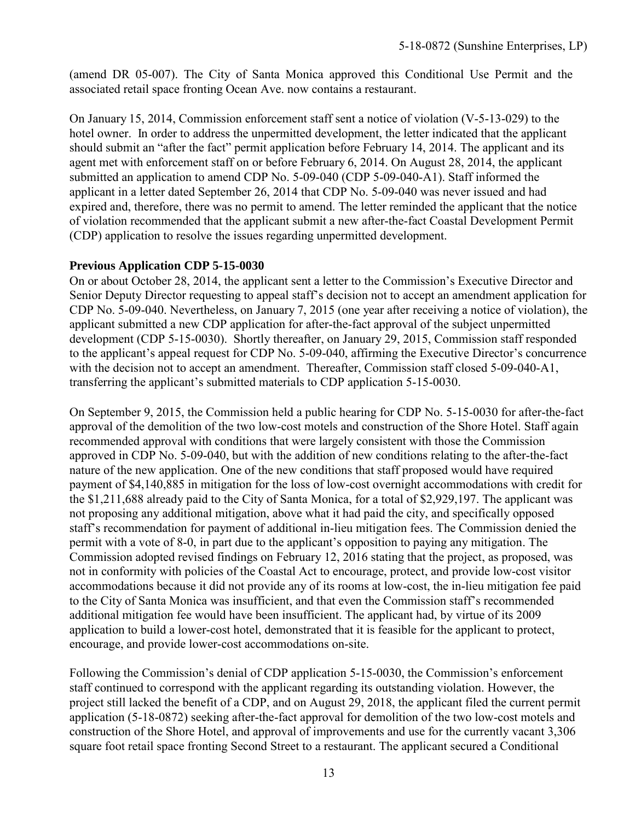(amend DR 05-007). The City of Santa Monica approved this Conditional Use Permit and the associated retail space fronting Ocean Ave. now contains a restaurant.

On January 15, 2014, Commission enforcement staff sent a notice of violation (V-5-13-029) to the hotel owner. In order to address the unpermitted development, the letter indicated that the applicant should submit an "after the fact" permit application before February 14, 2014. The applicant and its agent met with enforcement staff on or before February 6, 2014. On August 28, 2014, the applicant submitted an application to amend CDP No. 5-09-040 (CDP 5-09-040-A1). Staff informed the applicant in a letter dated September 26, 2014 that CDP No. 5-09-040 was never issued and had expired and, therefore, there was no permit to amend. The letter reminded the applicant that the notice of violation recommended that the applicant submit a new after-the-fact Coastal Development Permit (CDP) application to resolve the issues regarding unpermitted development.

#### **Previous Application CDP 5-15-0030**

On or about October 28, 2014, the applicant sent a letter to the Commission's Executive Director and Senior Deputy Director requesting to appeal staff's decision not to accept an amendment application for CDP No. 5-09-040. Nevertheless, on January 7, 2015 (one year after receiving a notice of violation), the applicant submitted a new CDP application for after-the-fact approval of the subject unpermitted development (CDP 5-15-0030). Shortly thereafter, on January 29, 2015, Commission staff responded to the applicant's appeal request for CDP No. 5-09-040, affirming the Executive Director's concurrence with the decision not to accept an amendment. Thereafter, Commission staff closed 5-09-040-A1, transferring the applicant's submitted materials to CDP application 5-15-0030.

On September 9, 2015, the Commission held a public hearing for CDP No. 5-15-0030 for after-the-fact approval of the demolition of the two low-cost motels and construction of the Shore Hotel. Staff again recommended approval with conditions that were largely consistent with those the Commission approved in CDP No. 5-09-040, but with the addition of new conditions relating to the after-the-fact nature of the new application. One of the new conditions that staff proposed would have required payment of \$4,140,885 in mitigation for the loss of low-cost overnight accommodations with credit for the \$1,211,688 already paid to the City of Santa Monica, for a total of \$2,929,197. The applicant was not proposing any additional mitigation, above what it had paid the city, and specifically opposed staff's recommendation for payment of additional in-lieu mitigation fees. The Commission denied the permit with a vote of 8-0, in part due to the applicant's opposition to paying any mitigation. The Commission adopted revised findings on February 12, 2016 stating that the project, as proposed, was not in conformity with policies of the Coastal Act to encourage, protect, and provide low-cost visitor accommodations because it did not provide any of its rooms at low-cost, the in-lieu mitigation fee paid to the City of Santa Monica was insufficient, and that even the Commission staff's recommended additional mitigation fee would have been insufficient. The applicant had, by virtue of its 2009 application to build a lower-cost hotel, demonstrated that it is feasible for the applicant to protect, encourage, and provide lower-cost accommodations on-site.

Following the Commission's denial of CDP application 5-15-0030, the Commission's enforcement staff continued to correspond with the applicant regarding its outstanding violation. However, the project still lacked the benefit of a CDP, and on August 29, 2018, the applicant filed the current permit application (5-18-0872) seeking after-the-fact approval for demolition of the two low-cost motels and construction of the Shore Hotel, and approval of improvements and use for the currently vacant 3,306 square foot retail space fronting Second Street to a restaurant. The applicant secured a Conditional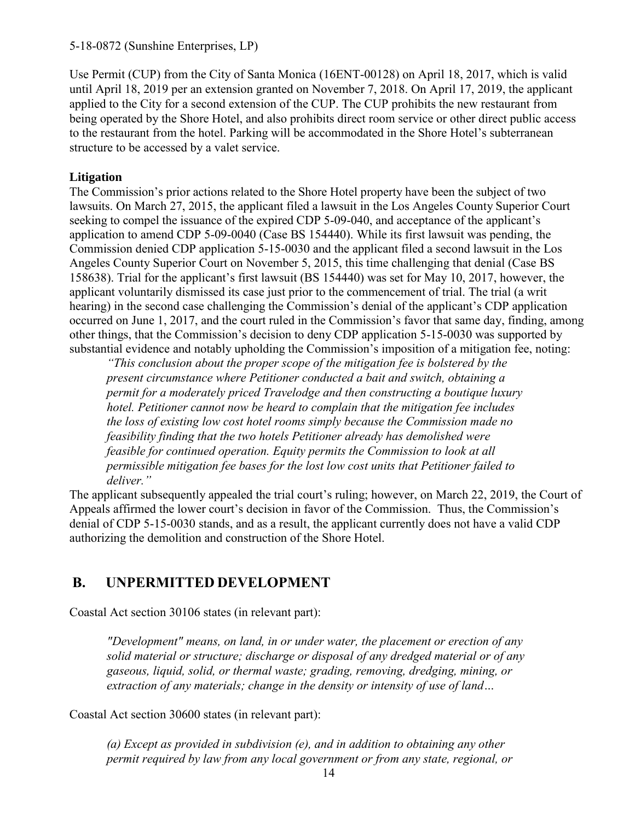Use Permit (CUP) from the City of Santa Monica (16ENT-00128) on April 18, 2017, which is valid until April 18, 2019 per an extension granted on November 7, 2018. On April 17, 2019, the applicant applied to the City for a second extension of the CUP. The CUP prohibits the new restaurant from being operated by the Shore Hotel, and also prohibits direct room service or other direct public access to the restaurant from the hotel. Parking will be accommodated in the Shore Hotel's subterranean structure to be accessed by a valet service.

### **Litigation**

The Commission's prior actions related to the Shore Hotel property have been the subject of two lawsuits. On March 27, 2015, the applicant filed a lawsuit in the Los Angeles County Superior Court seeking to compel the issuance of the expired CDP 5-09-040, and acceptance of the applicant's application to amend CDP 5-09-0040 (Case BS 154440). While its first lawsuit was pending, the Commission denied CDP application 5-15-0030 and the applicant filed a second lawsuit in the Los Angeles County Superior Court on November 5, 2015, this time challenging that denial (Case BS 158638). Trial for the applicant's first lawsuit (BS 154440) was set for May 10, 2017, however, the applicant voluntarily dismissed its case just prior to the commencement of trial. The trial (a writ hearing) in the second case challenging the Commission's denial of the applicant's CDP application occurred on June 1, 2017, and the court ruled in the Commission's favor that same day, finding, among other things, that the Commission's decision to deny CDP application 5-15-0030 was supported by substantial evidence and notably upholding the Commission's imposition of a mitigation fee, noting:

*"This conclusion about the proper scope of the mitigation fee is bolstered by the present circumstance where Petitioner conducted a bait and switch, obtaining a permit for a moderately priced Travelodge and then constructing a boutique luxury hotel. Petitioner cannot now be heard to complain that the mitigation fee includes the loss of existing low cost hotel rooms simply because the Commission made no feasibility finding that the two hotels Petitioner already has demolished were feasible for continued operation. Equity permits the Commission to look at all permissible mitigation fee bases for the lost low cost units that Petitioner failed to deliver."* 

The applicant subsequently appealed the trial court's ruling; however, on March 22, 2019, the Court of Appeals affirmed the lower court's decision in favor of the Commission. Thus, the Commission's denial of CDP 5-15-0030 stands, and as a result, the applicant currently does not have a valid CDP authorizing the demolition and construction of the Shore Hotel.

# <span id="page-13-0"></span>**B. UNPERMITTED DEVELOPMENT**

Coastal Act section 30106 states (in relevant part):

*"Development" means, on land, in or under water, the placement or erection of any solid material or structure; discharge or disposal of any dredged material or of any gaseous, liquid, solid, or thermal waste; grading, removing, dredging, mining, or extraction of any materials; change in the density or intensity of use of land…*

Coastal Act section 30600 states (in relevant part):

*(a) Except as provided in subdivision (e), and in addition to obtaining any other permit required by law from any local government or from any state, regional, or*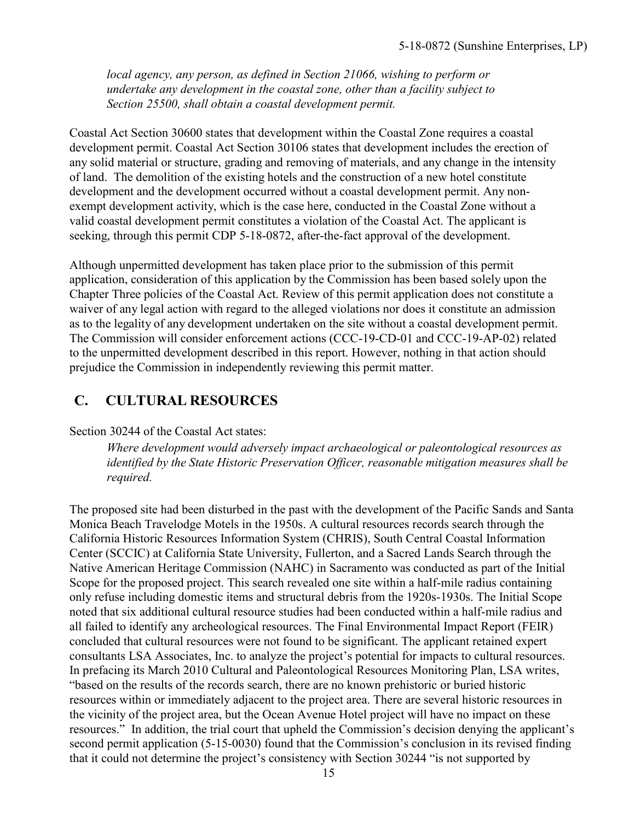*local agency, any person, as defined in Section 21066, wishing to perform or undertake any development in the coastal zone, other than a facility subject to Section 25500, shall obtain a coastal development permit.*

Coastal Act Section 30600 states that development within the Coastal Zone requires a coastal development permit. Coastal Act Section 30106 states that development includes the erection of any solid material or structure, grading and removing of materials, and any change in the intensity of land. The demolition of the existing hotels and the construction of a new hotel constitute development and the development occurred without a coastal development permit. Any nonexempt development activity, which is the case here, conducted in the Coastal Zone without a valid coastal development permit constitutes a violation of the Coastal Act. The applicant is seeking, through this permit CDP 5-18-0872, after-the-fact approval of the development.

Although unpermitted development has taken place prior to the submission of this permit application, consideration of this application by the Commission has been based solely upon the Chapter Three policies of the Coastal Act. Review of this permit application does not constitute a waiver of any legal action with regard to the alleged violations nor does it constitute an admission as to the legality of any development undertaken on the site without a coastal development permit. The Commission will consider enforcement actions (CCC-19-CD-01 and CCC-19-AP-02) related to the unpermitted development described in this report. However, nothing in that action should prejudice the Commission in independently reviewing this permit matter.

# <span id="page-14-0"></span>**C. CULTURAL RESOURCES**

#### Section 30244 of the Coastal Act states:

*Where development would adversely impact archaeological or paleontological resources as identified by the State Historic Preservation Officer, reasonable mitigation measures shall be required.* 

The proposed site had been disturbed in the past with the development of the Pacific Sands and Santa Monica Beach Travelodge Motels in the 1950s. A cultural resources records search through the California Historic Resources Information System (CHRIS), South Central Coastal Information Center (SCCIC) at California State University, Fullerton, and a Sacred Lands Search through the Native American Heritage Commission (NAHC) in Sacramento was conducted as part of the Initial Scope for the proposed project. This search revealed one site within a half-mile radius containing only refuse including domestic items and structural debris from the 1920s-1930s. The Initial Scope noted that six additional cultural resource studies had been conducted within a half-mile radius and all failed to identify any archeological resources. The Final Environmental Impact Report (FEIR) concluded that cultural resources were not found to be significant. The applicant retained expert consultants LSA Associates, Inc. to analyze the project's potential for impacts to cultural resources. In prefacing its March 2010 Cultural and Paleontological Resources Monitoring Plan, LSA writes, "based on the results of the records search, there are no known prehistoric or buried historic resources within or immediately adjacent to the project area. There are several historic resources in the vicinity of the project area, but the Ocean Avenue Hotel project will have no impact on these resources." In addition, the trial court that upheld the Commission's decision denying the applicant's second permit application (5-15-0030) found that the Commission's conclusion in its revised finding that it could not determine the project's consistency with Section 30244 "is not supported by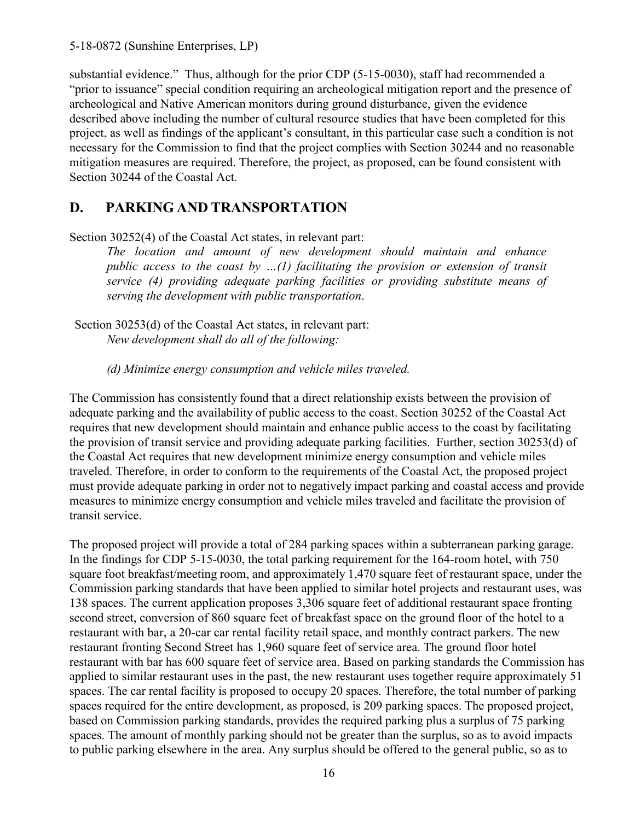substantial evidence." Thus, although for the prior CDP (5-15-0030), staff had recommended a "prior to issuance" special condition requiring an archeological mitigation report and the presence of archeological and Native American monitors during ground disturbance, given the evidence described above including the number of cultural resource studies that have been completed for this project, as well as findings of the applicant's consultant, in this particular case such a condition is not necessary for the Commission to find that the project complies with Section 30244 and no reasonable mitigation measures are required. Therefore, the project, as proposed, can be found consistent with Section 30244 of the Coastal Act.

# <span id="page-15-0"></span>**D. PARKING AND TRANSPORTATION**

Section 30252(4) of the Coastal Act states, in relevant part:

*The location and amount of new development should maintain and enhance public access to the coast by …(1) facilitating the provision or extension of transit service (4) providing adequate parking facilities or providing substitute means of serving the development with public transportation*.

Section 30253(d) of the Coastal Act states, in relevant part: *New development shall do all of the following:*

*(d) Minimize energy consumption and vehicle miles traveled.*

The Commission has consistently found that a direct relationship exists between the provision of adequate parking and the availability of public access to the coast. Section 30252 of the Coastal Act requires that new development should maintain and enhance public access to the coast by facilitating the provision of transit service and providing adequate parking facilities. Further, section 30253(d) of the Coastal Act requires that new development minimize energy consumption and vehicle miles traveled. Therefore, in order to conform to the requirements of the Coastal Act, the proposed project must provide adequate parking in order not to negatively impact parking and coastal access and provide measures to minimize energy consumption and vehicle miles traveled and facilitate the provision of transit service.

The proposed project will provide a total of 284 parking spaces within a subterranean parking garage. In the findings for CDP 5-15-0030, the total parking requirement for the 164-room hotel, with 750 square foot breakfast/meeting room, and approximately 1,470 square feet of restaurant space, under the Commission parking standards that have been applied to similar hotel projects and restaurant uses, was 138 spaces. The current application proposes 3,306 square feet of additional restaurant space fronting second street, conversion of 860 square feet of breakfast space on the ground floor of the hotel to a restaurant with bar, a 20-car car rental facility retail space, and monthly contract parkers. The new restaurant fronting Second Street has 1,960 square feet of service area. The ground floor hotel restaurant with bar has 600 square feet of service area. Based on parking standards the Commission has applied to similar restaurant uses in the past, the new restaurant uses together require approximately 51 spaces. The car rental facility is proposed to occupy 20 spaces. Therefore, the total number of parking spaces required for the entire development, as proposed, is 209 parking spaces. The proposed project, based on Commission parking standards, provides the required parking plus a surplus of 75 parking spaces. The amount of monthly parking should not be greater than the surplus, so as to avoid impacts to public parking elsewhere in the area. Any surplus should be offered to the general public, so as to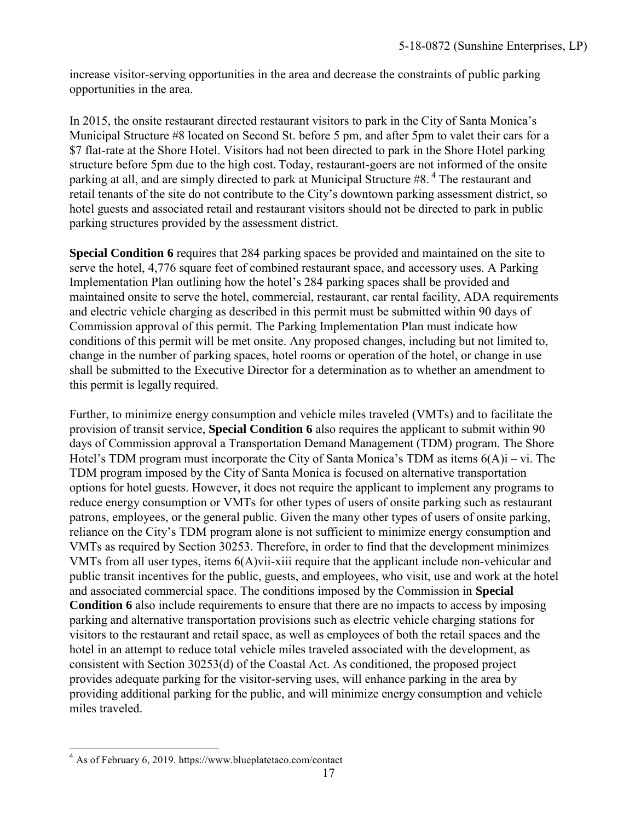increase visitor-serving opportunities in the area and decrease the constraints of public parking opportunities in the area.

In 2015, the onsite restaurant directed restaurant visitors to park in the City of Santa Monica's Municipal Structure #8 located on Second St. before 5 pm, and after 5pm to valet their cars for a \$7 flat-rate at the Shore Hotel. Visitors had not been directed to park in the Shore Hotel parking structure before 5pm due to the high cost. Today, restaurant-goers are not informed of the onsite parking at all, and are simply directed to park at Municipal Structure #8.<sup>4</sup> The restaurant and retail tenants of the site do not contribute to the City's downtown parking assessment district, so hotel guests and associated retail and restaurant visitors should not be directed to park in public parking structures provided by the assessment district.

**Special Condition 6** requires that 284 parking spaces be provided and maintained on the site to serve the hotel, 4,776 square feet of combined restaurant space, and accessory uses. A Parking Implementation Plan outlining how the hotel's 284 parking spaces shall be provided and maintained onsite to serve the hotel, commercial, restaurant, car rental facility, ADA requirements and electric vehicle charging as described in this permit must be submitted within 90 days of Commission approval of this permit. The Parking Implementation Plan must indicate how conditions of this permit will be met onsite. Any proposed changes, including but not limited to, change in the number of parking spaces, hotel rooms or operation of the hotel, or change in use shall be submitted to the Executive Director for a determination as to whether an amendment to this permit is legally required.

Further, to minimize energy consumption and vehicle miles traveled (VMTs) and to facilitate the provision of transit service, **Special Condition 6** also requires the applicant to submit within 90 days of Commission approval a Transportation Demand Management (TDM) program. The Shore Hotel's TDM program must incorporate the City of Santa Monica's TDM as items  $6(A)i - vi$ . The TDM program imposed by the City of Santa Monica is focused on alternative transportation options for hotel guests. However, it does not require the applicant to implement any programs to reduce energy consumption or VMTs for other types of users of onsite parking such as restaurant patrons, employees, or the general public. Given the many other types of users of onsite parking, reliance on the City's TDM program alone is not sufficient to minimize energy consumption and VMTs as required by Section 30253. Therefore, in order to find that the development minimizes VMTs from all user types, items 6(A)vii-xiii require that the applicant include non-vehicular and public transit incentives for the public, guests, and employees, who visit, use and work at the hotel and associated commercial space. The conditions imposed by the Commission in **Special Condition 6** also include requirements to ensure that there are no impacts to access by imposing parking and alternative transportation provisions such as electric vehicle charging stations for visitors to the restaurant and retail space, as well as employees of both the retail spaces and the hotel in an attempt to reduce total vehicle miles traveled associated with the development, as consistent with Section 30253(d) of the Coastal Act. As conditioned, the proposed project provides adequate parking for the visitor-serving uses, will enhance parking in the area by providing additional parking for the public, and will minimize energy consumption and vehicle miles traveled.

 $\overline{\phantom{a}}$ <sup>4</sup> As of February 6, 2019. https://www.blueplatetaco.com/contact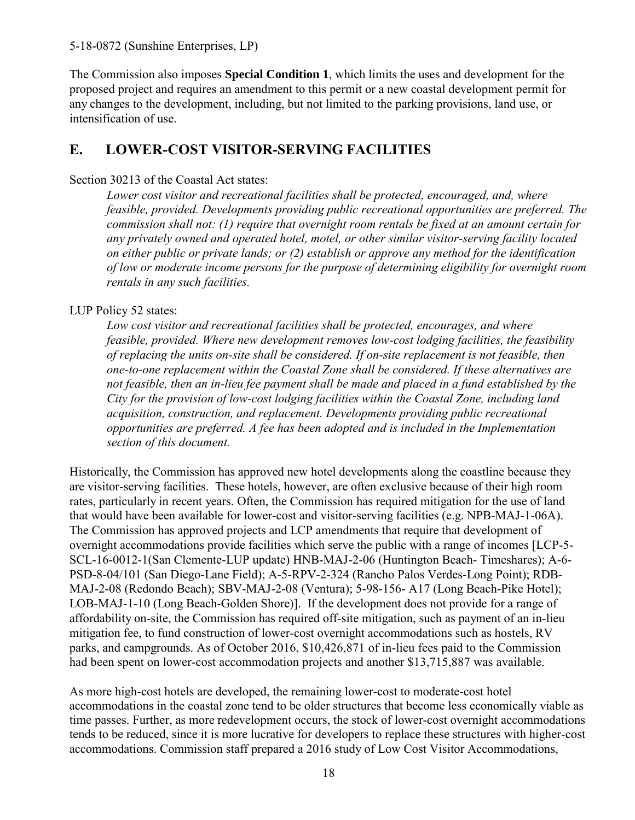The Commission also imposes **Special Condition 1**, which limits the uses and development for the proposed project and requires an amendment to this permit or a new coastal development permit for any changes to the development, including, but not limited to the parking provisions, land use, or intensification of use.

# <span id="page-17-0"></span>**E. LOWER-COST VISITOR-SERVING FACILITIES**

### Section 30213 of the Coastal Act states:

*Lower cost visitor and recreational facilities shall be protected, encouraged, and, where feasible, provided. Developments providing public recreational opportunities are preferred. The commission shall not: (1) require that overnight room rentals be fixed at an amount certain for any privately owned and operated hotel, motel, or other similar visitor-serving facility located on either public or private lands; or (2) establish or approve any method for the identification of low or moderate income persons for the purpose of determining eligibility for overnight room rentals in any such facilities.* 

### LUP Policy 52 states:

*Low cost visitor and recreational facilities shall be protected, encourages, and where feasible, provided. Where new development removes low-cost lodging facilities, the feasibility of replacing the units on-site shall be considered. If on-site replacement is not feasible, then one-to-one replacement within the Coastal Zone shall be considered. If these alternatives are not feasible, then an in-lieu fee payment shall be made and placed in a fund established by the City for the provision of low-cost lodging facilities within the Coastal Zone, including land acquisition, construction, and replacement. Developments providing public recreational opportunities are preferred. A fee has been adopted and is included in the Implementation section of this document.* 

Historically, the Commission has approved new hotel developments along the coastline because they are visitor-serving facilities. These hotels, however, are often exclusive because of their high room rates, particularly in recent years. Often, the Commission has required mitigation for the use of land that would have been available for lower-cost and visitor-serving facilities (e.g. NPB-MAJ-1-06A). The Commission has approved projects and LCP amendments that require that development of overnight accommodations provide facilities which serve the public with a range of incomes [LCP-5- SCL-16-0012-1(San Clemente-LUP update) HNB-MAJ-2-06 (Huntington Beach- Timeshares); A-6- PSD-8-04/101 (San Diego-Lane Field); A-5-RPV-2-324 (Rancho Palos Verdes-Long Point); RDB-MAJ-2-08 (Redondo Beach); SBV-MAJ-2-08 (Ventura); 5-98-156- A17 (Long Beach-Pike Hotel); LOB-MAJ-1-10 (Long Beach-Golden Shore)]. If the development does not provide for a range of affordability on-site, the Commission has required off-site mitigation, such as payment of an in-lieu mitigation fee, to fund construction of lower-cost overnight accommodations such as hostels, RV parks, and campgrounds. As of October 2016, \$10,426,871 of in-lieu fees paid to the Commission had been spent on lower-cost accommodation projects and another \$13,715,887 was available.

As more high-cost hotels are developed, the remaining lower-cost to moderate-cost hotel accommodations in the coastal zone tend to be older structures that become less economically viable as time passes. Further, as more redevelopment occurs, the stock of lower-cost overnight accommodations tends to be reduced, since it is more lucrative for developers to replace these structures with higher-cost accommodations. Commission staff prepared a 2016 study of Low Cost Visitor Accommodations,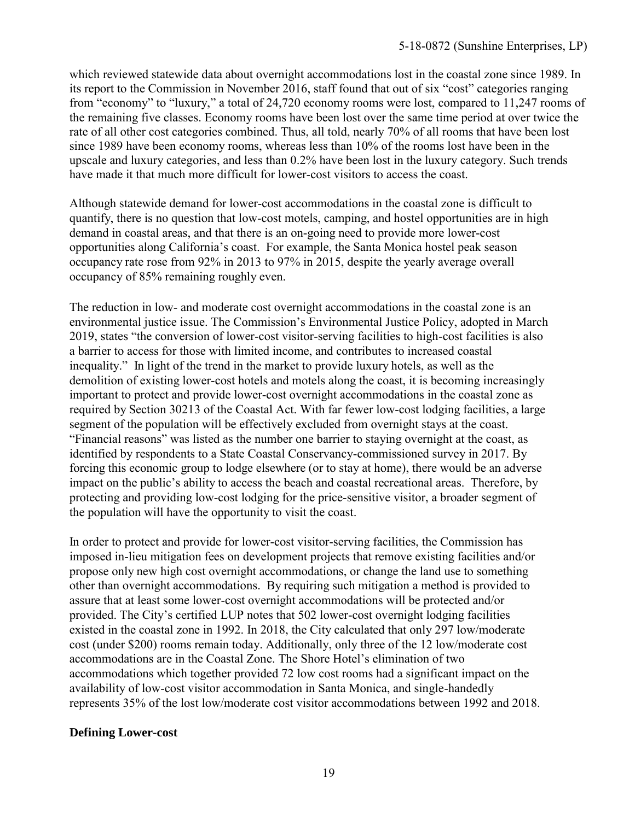which reviewed statewide data about overnight accommodations lost in the coastal zone since 1989. In its report to the Commission in November 2016, staff found that out of six "cost" categories ranging from "economy" to "luxury," a total of 24,720 economy rooms were lost, compared to 11,247 rooms of the remaining five classes. Economy rooms have been lost over the same time period at over twice the rate of all other cost categories combined. Thus, all told, nearly 70% of all rooms that have been lost since 1989 have been economy rooms, whereas less than 10% of the rooms lost have been in the upscale and luxury categories, and less than 0.2% have been lost in the luxury category. Such trends have made it that much more difficult for lower-cost visitors to access the coast.

Although statewide demand for lower-cost accommodations in the coastal zone is difficult to quantify, there is no question that low-cost motels, camping, and hostel opportunities are in high demand in coastal areas, and that there is an on-going need to provide more lower-cost opportunities along California's coast. For example, the Santa Monica hostel peak season occupancy rate rose from 92% in 2013 to 97% in 2015, despite the yearly average overall occupancy of 85% remaining roughly even.

The reduction in low- and moderate cost overnight accommodations in the coastal zone is an environmental justice issue. The Commission's Environmental Justice Policy, adopted in March 2019, states "the conversion of lower-cost visitor-serving facilities to high-cost facilities is also a barrier to access for those with limited income, and contributes to increased coastal inequality." In light of the trend in the market to provide luxury hotels, as well as the demolition of existing lower-cost hotels and motels along the coast, it is becoming increasingly important to protect and provide lower-cost overnight accommodations in the coastal zone as required by Section 30213 of the Coastal Act. With far fewer low-cost lodging facilities, a large segment of the population will be effectively excluded from overnight stays at the coast. "Financial reasons" was listed as the number one barrier to staying overnight at the coast, as identified by respondents to a State Coastal Conservancy-commissioned survey in 2017. By forcing this economic group to lodge elsewhere (or to stay at home), there would be an adverse impact on the public's ability to access the beach and coastal recreational areas. Therefore, by protecting and providing low-cost lodging for the price-sensitive visitor, a broader segment of the population will have the opportunity to visit the coast.

In order to protect and provide for lower-cost visitor-serving facilities, the Commission has imposed in-lieu mitigation fees on development projects that remove existing facilities and/or propose only new high cost overnight accommodations, or change the land use to something other than overnight accommodations. By requiring such mitigation a method is provided to assure that at least some lower-cost overnight accommodations will be protected and/or provided. The City's certified LUP notes that 502 lower-cost overnight lodging facilities existed in the coastal zone in 1992. In 2018, the City calculated that only 297 low/moderate cost (under \$200) rooms remain today. Additionally, only three of the 12 low/moderate cost accommodations are in the Coastal Zone. The Shore Hotel's elimination of two accommodations which together provided 72 low cost rooms had a significant impact on the availability of low-cost visitor accommodation in Santa Monica, and single-handedly represents 35% of the lost low/moderate cost visitor accommodations between 1992 and 2018.

#### **Defining Lower-cost**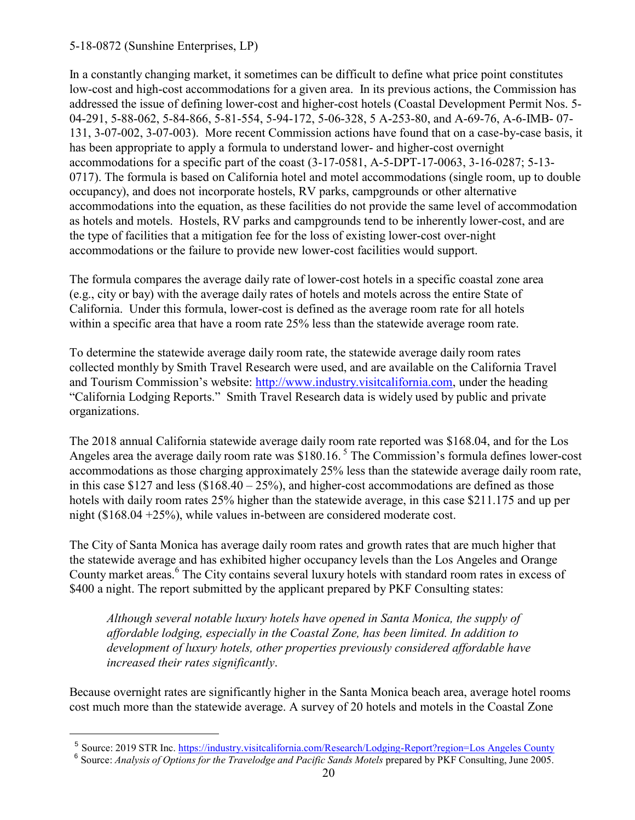$\overline{a}$ 

In a constantly changing market, it sometimes can be difficult to define what price point constitutes low-cost and high-cost accommodations for a given area. In its previous actions, the Commission has addressed the issue of defining lower-cost and higher-cost hotels (Coastal Development Permit Nos. 5- 04-291, 5-88-062, 5-84-866, 5-81-554, 5-94-172, 5-06-328, 5 A-253-80, and A-69-76, A-6-IMB- 07- 131, 3-07-002, 3-07-003). More recent Commission actions have found that on a case-by-case basis, it has been appropriate to apply a formula to understand lower- and higher-cost overnight accommodations for a specific part of the coast (3-17-0581, A-5-DPT-17-0063, 3-16-0287; 5-13- 0717). The formula is based on California hotel and motel accommodations (single room, up to double occupancy), and does not incorporate hostels, RV parks, campgrounds or other alternative accommodations into the equation, as these facilities do not provide the same level of accommodation as hotels and motels. Hostels, RV parks and campgrounds tend to be inherently lower-cost, and are the type of facilities that a mitigation fee for the loss of existing lower-cost over-night accommodations or the failure to provide new lower-cost facilities would support.

The formula compares the average daily rate of lower-cost hotels in a specific coastal zone area (e.g., city or bay) with the average daily rates of hotels and motels across the entire State of California. Under this formula, lower-cost is defined as the average room rate for all hotels within a specific area that have a room rate 25% less than the statewide average room rate.

To determine the statewide average daily room rate, the statewide average daily room rates collected monthly by Smith Travel Research were used, and are available on the California Travel and Tourism Commission's website: [http://www.industry.visitcalifornia.com,](http://www.industry.visitcalifornia.com/) under the heading "California Lodging Reports." Smith Travel Research data is widely used by public and private organizations.

The 2018 annual California statewide average daily room rate reported was \$168.04, and for the Los Angeles area the average daily room rate was  $$180.16<sup>5</sup>$  The Commission's formula defines lower-cost accommodations as those charging approximately 25% less than the statewide average daily room rate, in this case \$127 and less  $(\$168.40 - 25\%)$ , and higher-cost accommodations are defined as those hotels with daily room rates 25% higher than the statewide average, in this case \$211.175 and up per night (\$168.04 +25%), while values in-between are considered moderate cost.

The City of Santa Monica has average daily room rates and growth rates that are much higher that the statewide average and has exhibited higher occupancy levels than the Los Angeles and Orange County market areas.<sup>6</sup> The City contains several luxury hotels with standard room rates in excess of \$400 a night. The report submitted by the applicant prepared by PKF Consulting states:

*Although several notable luxury hotels have opened in Santa Monica, the supply of affordable lodging, especially in the Coastal Zone, has been limited. In addition to development of luxury hotels, other properties previously considered affordable have increased their rates significantly*.

Because overnight rates are significantly higher in the Santa Monica beach area, average hotel rooms cost much more than the statewide average. A survey of 20 hotels and motels in the Coastal Zone

<sup>&</sup>lt;sup>5</sup> Source: 2019 STR Inc. [https://industry.visitcalifornia.com/Research/Lodging-Report?region=Los Angeles County](https://industry.visitcalifornia.com/Research/Lodging-Report?region=Los%20Angeles%20County)

<sup>&</sup>lt;sup>6</sup> Source: *Analysis of Options for the Travelodge and Pacific Sands Motels prepared by PKF Consulting, June 2005.*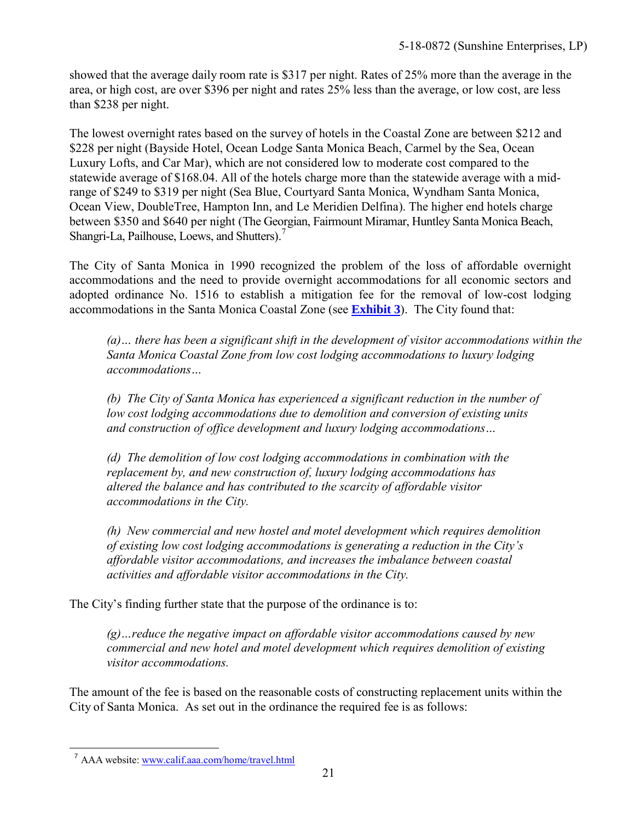showed that the average daily room rate is \$317 per night. Rates of 25% more than the average in the area, or high cost, are over \$396 per night and rates 25% less than the average, or low cost, are less than \$238 per night.

The lowest overnight rates based on the survey of hotels in the Coastal Zone are between \$212 and \$228 per night (Bayside Hotel, Ocean Lodge Santa Monica Beach, Carmel by the Sea, Ocean Luxury Lofts, and Car Mar), which are not considered low to moderate cost compared to the statewide average of \$168.04. All of the hotels charge more than the statewide average with a midrange of \$249 to \$319 per night (Sea Blue, Courtyard Santa Monica, Wyndham Santa Monica, Ocean View, DoubleTree, Hampton Inn, and Le Meridien Delfina). The higher end hotels charge between \$350 and \$640 per night (The Georgian, Fairmount Miramar, Huntley Santa Monica Beach, Shangri-La, Pailhouse, Loews, and Shutters).<sup>7</sup>

The City of Santa Monica in 1990 recognized the problem of the loss of affordable overnight accommodations and the need to provide overnight accommodations for all economic sectors and adopted ordinance No. 1516 to establish a mitigation fee for the removal of low-cost lodging accommodations in the Santa Monica Coastal Zone (see **[Exhibit 3](https://documents.coastal.ca.gov/reports/2019/5/W16a/W16a-5-2019-appendix.pdf)**). The City found that:

*(a)… there has been a significant shift in the development of visitor accommodations within the Santa Monica Coastal Zone from low cost lodging accommodations to luxury lodging accommodations…*

*(b) The City of Santa Monica has experienced a significant reduction in the number of low cost lodging accommodations due to demolition and conversion of existing units and construction of office development and luxury lodging accommodations…*

*(d) The demolition of low cost lodging accommodations in combination with the replacement by, and new construction of, luxury lodging accommodations has altered the balance and has contributed to the scarcity of affordable visitor accommodations in the City.*

*(h) New commercial and new hostel and motel development which requires demolition of existing low cost lodging accommodations is generating a reduction in the City's affordable visitor accommodations, and increases the imbalance between coastal activities and affordable visitor accommodations in the City.*

The City's finding further state that the purpose of the ordinance is to:

*(g)…reduce the negative impact on affordable visitor accommodations caused by new commercial and new hotel and motel development which requires demolition of existing visitor accommodations.*

The amount of the fee is based on the reasonable costs of constructing replacement units within the City of Santa Monica. As set out in the ordinance the required fee is as follows:

 $\overline{a}$ <sup>7</sup> AAA website: [www.calif.aaa.com/home/travel.html](http://www.calif.aaa.com/home/travel.html)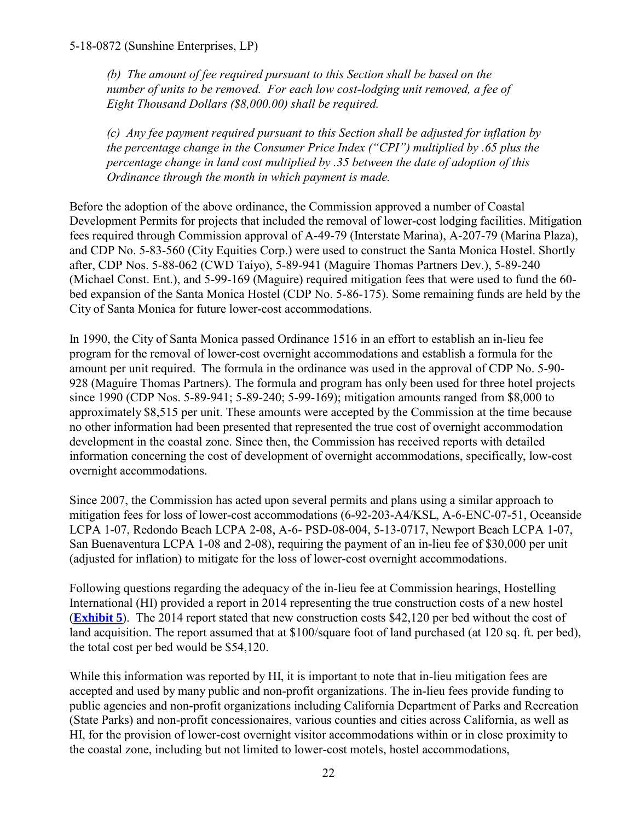*(b) The amount of fee required pursuant to this Section shall be based on the number of units to be removed. For each low cost-lodging unit removed, a fee of Eight Thousand Dollars (\$8,000.00) shall be required.*

*(c) Any fee payment required pursuant to this Section shall be adjusted for inflation by the percentage change in the Consumer Price Index ("CPI") multiplied by .65 plus the percentage change in land cost multiplied by .35 between the date of adoption of this Ordinance through the month in which payment is made.*

Before the adoption of the above ordinance, the Commission approved a number of Coastal Development Permits for projects that included the removal of lower-cost lodging facilities. Mitigation fees required through Commission approval of A-49-79 (Interstate Marina), A-207-79 (Marina Plaza), and CDP No. 5-83-560 (City Equities Corp.) were used to construct the Santa Monica Hostel. Shortly after, CDP Nos. 5-88-062 (CWD Taiyo), 5-89-941 (Maguire Thomas Partners Dev.), 5-89-240 (Michael Const. Ent.), and 5-99-169 (Maguire) required mitigation fees that were used to fund the 60 bed expansion of the Santa Monica Hostel (CDP No. 5-86-175). Some remaining funds are held by the City of Santa Monica for future lower-cost accommodations.

In 1990, the City of Santa Monica passed Ordinance 1516 in an effort to establish an in-lieu fee program for the removal of lower-cost overnight accommodations and establish a formula for the amount per unit required. The formula in the ordinance was used in the approval of CDP No. 5-90- 928 (Maguire Thomas Partners). The formula and program has only been used for three hotel projects since 1990 (CDP Nos. 5-89-941; 5-89-240; 5-99-169); mitigation amounts ranged from \$8,000 to approximately \$8,515 per unit. These amounts were accepted by the Commission at the time because no other information had been presented that represented the true cost of overnight accommodation development in the coastal zone. Since then, the Commission has received reports with detailed information concerning the cost of development of overnight accommodations, specifically, low-cost overnight accommodations.

Since 2007, the Commission has acted upon several permits and plans using a similar approach to mitigation fees for loss of lower-cost accommodations (6-92-203-A4/KSL, A-6-ENC-07-51, Oceanside LCPA 1-07, Redondo Beach LCPA 2-08, A-6- PSD-08-004, 5-13-0717, Newport Beach LCPA 1-07, San Buenaventura LCPA 1-08 and 2-08), requiring the payment of an in-lieu fee of \$30,000 per unit (adjusted for inflation) to mitigate for the loss of lower-cost overnight accommodations.

Following questions regarding the adequacy of the in-lieu fee at Commission hearings, Hostelling International (HI) provided a report in 2014 representing the true construction costs of a new hostel (**[Exhibit 5](https://documents.coastal.ca.gov/reports/2019/5/W16a/W16a-5-2019-appendix.pdf)**). The 2014 report stated that new construction costs \$42,120 per bed without the cost of land acquisition. The report assumed that at \$100/square foot of land purchased (at 120 sq. ft. per bed), the total cost per bed would be \$54,120.

While this information was reported by HI, it is important to note that in-lieu mitigation fees are accepted and used by many public and non-profit organizations. The in-lieu fees provide funding to public agencies and non-profit organizations including California Department of Parks and Recreation (State Parks) and non-profit concessionaires, various counties and cities across California, as well as HI, for the provision of lower-cost overnight visitor accommodations within or in close proximity to the coastal zone, including but not limited to lower-cost motels, hostel accommodations,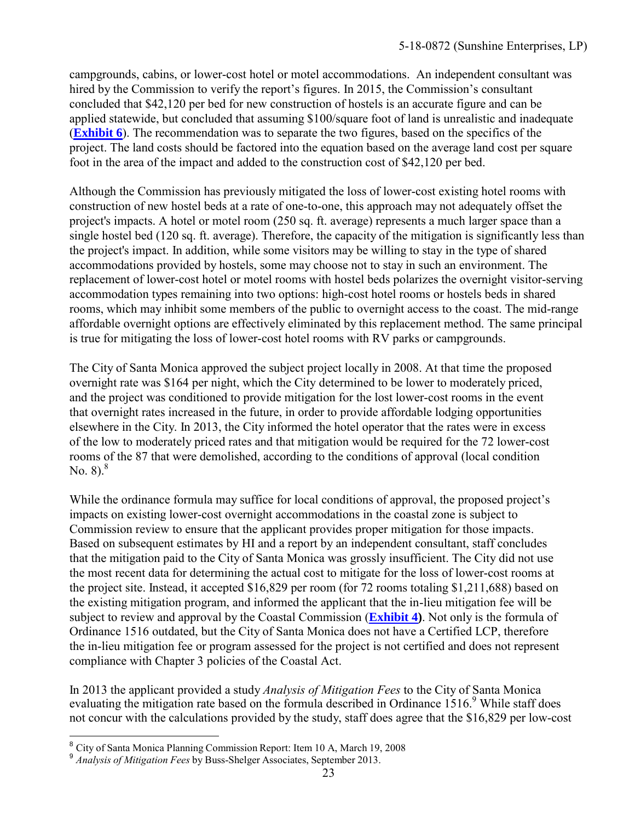campgrounds, cabins, or lower-cost hotel or motel accommodations. An independent consultant was hired by the Commission to verify the report's figures. In 2015, the Commission's consultant concluded that \$42,120 per bed for new construction of hostels is an accurate figure and can be applied statewide, but concluded that assuming \$100/square foot of land is unrealistic and inadequate (**[Exhibit 6](https://documents.coastal.ca.gov/reports/2019/5/W16a/W16a-5-2019-appendix.pdf)**). The recommendation was to separate the two figures, based on the specifics of the project. The land costs should be factored into the equation based on the average land cost per square foot in the area of the impact and added to the construction cost of \$42,120 per bed.

Although the Commission has previously mitigated the loss of lower-cost existing hotel rooms with construction of new hostel beds at a rate of one-to-one, this approach may not adequately offset the project's impacts. A hotel or motel room (250 sq. ft. average) represents a much larger space than a single hostel bed (120 sq. ft. average). Therefore, the capacity of the mitigation is significantly less than the project's impact. In addition, while some visitors may be willing to stay in the type of shared accommodations provided by hostels, some may choose not to stay in such an environment. The replacement of lower-cost hotel or motel rooms with hostel beds polarizes the overnight visitor-serving accommodation types remaining into two options: high-cost hotel rooms or hostels beds in shared rooms, which may inhibit some members of the public to overnight access to the coast. The mid-range affordable overnight options are effectively eliminated by this replacement method. The same principal is true for mitigating the loss of lower-cost hotel rooms with RV parks or campgrounds.

The City of Santa Monica approved the subject project locally in 2008. At that time the proposed overnight rate was \$164 per night, which the City determined to be lower to moderately priced, and the project was conditioned to provide mitigation for the lost lower-cost rooms in the event that overnight rates increased in the future, in order to provide affordable lodging opportunities elsewhere in the City. In 2013, the City informed the hotel operator that the rates were in excess of the low to moderately priced rates and that mitigation would be required for the 72 lower-cost rooms of the 87 that were demolished, according to the conditions of approval (local condition No.  $8^{8}$ .

While the ordinance formula may suffice for local conditions of approval, the proposed project's impacts on existing lower-cost overnight accommodations in the coastal zone is subject to Commission review to ensure that the applicant provides proper mitigation for those impacts. Based on subsequent estimates by HI and a report by an independent consultant, staff concludes that the mitigation paid to the City of Santa Monica was grossly insufficient. The City did not use the most recent data for determining the actual cost to mitigate for the loss of lower-cost rooms at the project site. Instead, it accepted \$16,829 per room (for 72 rooms totaling \$1,211,688) based on the existing mitigation program, and informed the applicant that the in-lieu mitigation fee will be subject to review and approval by the Coastal Commission (**[Exhibit 4\)](https://documents.coastal.ca.gov/reports/2019/5/W16a/W16a-5-2019-appendix.pdf)**. Not only is the formula of Ordinance 1516 outdated, but the City of Santa Monica does not have a Certified LCP, therefore the in-lieu mitigation fee or program assessed for the project is not certified and does not represent compliance with Chapter 3 policies of the Coastal Act.

In 2013 the applicant provided a study *Analysis of Mitigation Fees* to the City of Santa Monica evaluating the mitigation rate based on the formula described in Ordinance 1516.<sup>9</sup> While staff does not concur with the calculations provided by the study, staff does agree that the \$16,829 per low-cost

 8 City of Santa Monica Planning Commission Report: Item 10 A, March 19, 2008

<sup>9</sup> *Analysis of Mitigation Fees* by Buss-Shelger Associates, September 2013.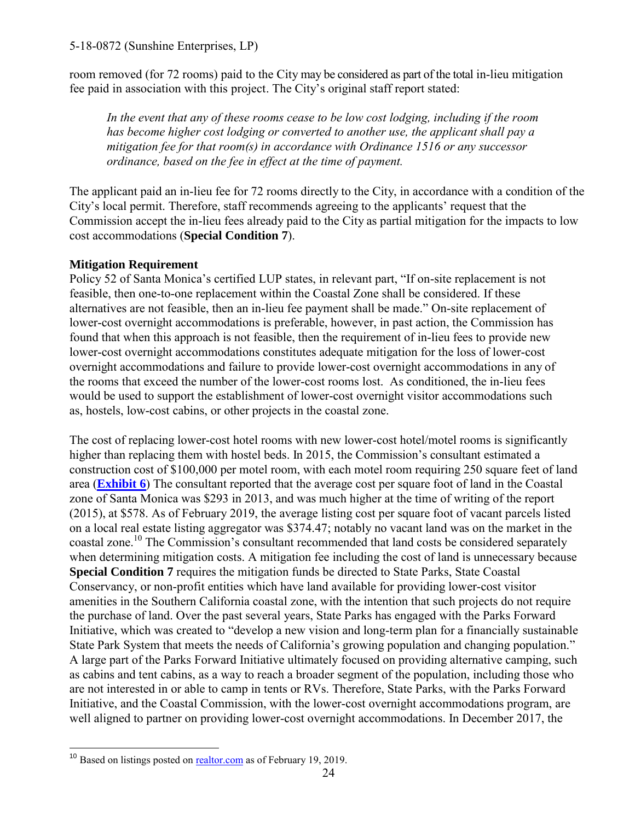room removed (for 72 rooms) paid to the City may be considered as part of the total in-lieu mitigation fee paid in association with this project. The City's original staff report stated:

*In the event that any of these rooms cease to be low cost lodging, including if the room has become higher cost lodging or converted to another use, the applicant shall pay a mitigation fee for that room(s) in accordance with Ordinance 1516 or any successor ordinance, based on the fee in effect at the time of payment.* 

The applicant paid an in-lieu fee for 72 rooms directly to the City, in accordance with a condition of the City's local permit. Therefore, staff recommends agreeing to the applicants' request that the Commission accept the in-lieu fees already paid to the City as partial mitigation for the impacts to low cost accommodations (**Special Condition 7**).

#### **Mitigation Requirement**

Policy 52 of Santa Monica's certified LUP states, in relevant part, "If on-site replacement is not feasible, then one-to-one replacement within the Coastal Zone shall be considered. If these alternatives are not feasible, then an in-lieu fee payment shall be made." On-site replacement of lower-cost overnight accommodations is preferable, however, in past action, the Commission has found that when this approach is not feasible, then the requirement of in-lieu fees to provide new lower-cost overnight accommodations constitutes adequate mitigation for the loss of lower-cost overnight accommodations and failure to provide lower-cost overnight accommodations in any of the rooms that exceed the number of the lower-cost rooms lost. As conditioned, the in-lieu fees would be used to support the establishment of lower-cost overnight visitor accommodations such as, hostels, low-cost cabins, or other projects in the coastal zone.

The cost of replacing lower-cost hotel rooms with new lower-cost hotel/motel rooms is significantly higher than replacing them with hostel beds. In 2015, the Commission's consultant estimated a construction cost of \$100,000 per motel room, with each motel room requiring 250 square feet of land area (**[Exhibit 6](https://documents.coastal.ca.gov/reports/2019/5/W16a/W16a-5-2019-appendix.pdf)**) The consultant reported that the average cost per square foot of land in the Coastal zone of Santa Monica was \$293 in 2013, and was much higher at the time of writing of the report (2015), at \$578. As of February 2019, the average listing cost per square foot of vacant parcels listed on a local real estate listing aggregator was \$374.47; notably no vacant land was on the market in the coastal zone.<sup>10</sup> The Commission's consultant recommended that land costs be considered separately when determining mitigation costs. A mitigation fee including the cost of land is unnecessary because **Special Condition 7** requires the mitigation funds be directed to State Parks, State Coastal Conservancy, or non-profit entities which have land available for providing lower-cost visitor amenities in the Southern California coastal zone, with the intention that such projects do not require the purchase of land. Over the past several years, State Parks has engaged with the Parks Forward Initiative, which was created to "develop a new vision and long-term plan for a financially sustainable State Park System that meets the needs of California's growing population and changing population." A large part of the Parks Forward Initiative ultimately focused on providing alternative camping, such as cabins and tent cabins, as a way to reach a broader segment of the population, including those who are not interested in or able to camp in tents or RVs. Therefore, State Parks, with the Parks Forward Initiative, and the Coastal Commission, with the lower-cost overnight accommodations program, are well aligned to partner on providing lower-cost overnight accommodations. In December 2017, the

 $\overline{\phantom{a}}$ <sup>10</sup> Based on listings posted on [realtor.com](https://www.realtor.com/realestateandhomes-search/Santa-Monica_CA/type-land) as of February 19, 2019.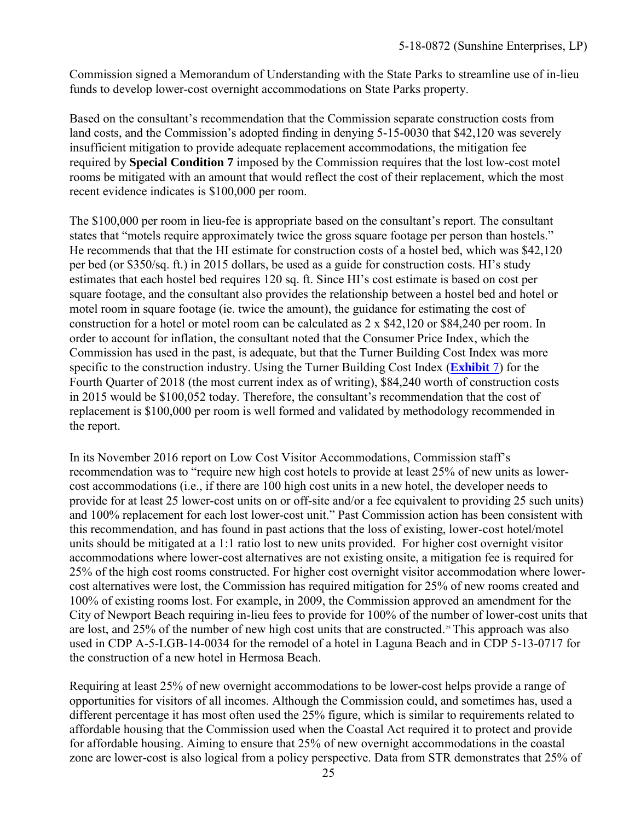Commission signed a Memorandum of Understanding with the State Parks to streamline use of in-lieu funds to develop lower-cost overnight accommodations on State Parks property.

Based on the consultant's recommendation that the Commission separate construction costs from land costs, and the Commission's adopted finding in denying 5-15-0030 that \$42,120 was severely insufficient mitigation to provide adequate replacement accommodations, the mitigation fee required by **Special Condition 7** imposed by the Commission requires that the lost low-cost motel rooms be mitigated with an amount that would reflect the cost of their replacement, which the most recent evidence indicates is \$100,000 per room.

The \$100,000 per room in lieu-fee is appropriate based on the consultant's report. The consultant states that "motels require approximately twice the gross square footage per person than hostels." He recommends that that the HI estimate for construction costs of a hostel bed, which was \$42,120 per bed (or \$350/sq. ft.) in 2015 dollars, be used as a guide for construction costs. HI's study estimates that each hostel bed requires 120 sq. ft. Since HI's cost estimate is based on cost per square footage, and the consultant also provides the relationship between a hostel bed and hotel or motel room in square footage (ie. twice the amount), the guidance for estimating the cost of construction for a hotel or motel room can be calculated as 2 x \$42,120 or \$84,240 per room. In order to account for inflation, the consultant noted that the Consumer Price Index, which the Commission has used in the past, is adequate, but that the Turner Building Cost Index was more specific to the construction industry. Using the Turner Building Cost Index (**[Exhibit](https://documents.coastal.ca.gov/reports/2019/5/W16a/W16a-5-2019-exhibits.pdf)** 7) for the Fourth Quarter of 2018 (the most current index as of writing), \$84,240 worth of construction costs in 2015 would be \$100,052 today. Therefore, the consultant's recommendation that the cost of replacement is \$100,000 per room is well formed and validated by methodology recommended in the report.

In its November 2016 report on Low Cost Visitor Accommodations, Commission staff's recommendation was to "require new high cost hotels to provide at least 25% of new units as lowercost accommodations (i.e., if there are 100 high cost units in a new hotel, the developer needs to provide for at least 25 lower-cost units on or off-site and/or a fee equivalent to providing 25 such units) and 100% replacement for each lost lower-cost unit." Past Commission action has been consistent with this recommendation, and has found in past actions that the loss of existing, lower-cost hotel/motel units should be mitigated at a 1:1 ratio lost to new units provided. For higher cost overnight visitor accommodations where lower-cost alternatives are not existing onsite, a mitigation fee is required for 25% of the high cost rooms constructed. For higher cost overnight visitor accommodation where lowercost alternatives were lost, the Commission has required mitigation for 25% of new rooms created and 100% of existing rooms lost. For example, in 2009, the Commission approved an amendment for the City of Newport Beach requiring in-lieu fees to provide for 100% of the number of lower-cost units that are lost, and 25% of the number of new high cost units that are constructed.<sup>25</sup> This approach was also used in CDP A-5-LGB-14-0034 for the remodel of a hotel in Laguna Beach and in CDP 5-13-0717 for the construction of a new hotel in Hermosa Beach.

Requiring at least 25% of new overnight accommodations to be lower-cost helps provide a range of opportunities for visitors of all incomes. Although the Commission could, and sometimes has, used a different percentage it has most often used the 25% figure, which is similar to requirements related to affordable housing that the Commission used when the Coastal Act required it to protect and provide for affordable housing. Aiming to ensure that 25% of new overnight accommodations in the coastal zone are lower-cost is also logical from a policy perspective. Data from STR demonstrates that 25% of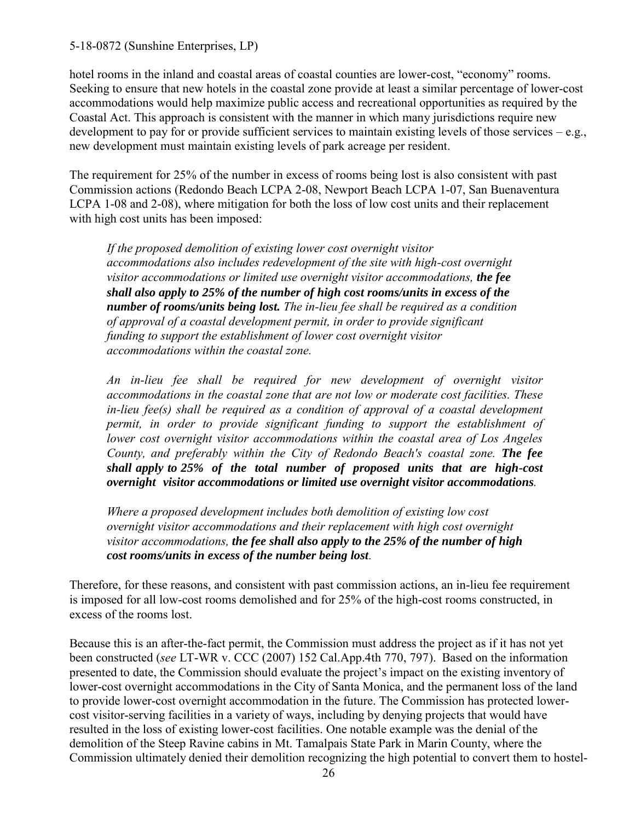hotel rooms in the inland and coastal areas of coastal counties are lower-cost, "economy" rooms. Seeking to ensure that new hotels in the coastal zone provide at least a similar percentage of lower-cost accommodations would help maximize public access and recreational opportunities as required by the Coastal Act. This approach is consistent with the manner in which many jurisdictions require new development to pay for or provide sufficient services to maintain existing levels of those services  $-e.g.,$ new development must maintain existing levels of park acreage per resident.

The requirement for 25% of the number in excess of rooms being lost is also consistent with past Commission actions (Redondo Beach LCPA 2-08, Newport Beach LCPA 1-07, San Buenaventura LCPA 1-08 and 2-08), where mitigation for both the loss of low cost units and their replacement with high cost units has been imposed:

*If the proposed demolition of existing lower cost overnight visitor accommodations also includes redevelopment of the site with high-cost overnight visitor accommodations or limited use overnight visitor accommodations, the fee shall also apply to 25% of the number of high cost rooms/units in excess of the number of rooms/units being lost. The in-lieu fee shall be required as a condition of approval of a coastal development permit, in order to provide significant funding to support the establishment of lower cost overnight visitor accommodations within the coastal zone.*

*An in-lieu fee shall be required for new development of overnight visitor accommodations in the coastal zone that are not low or moderate cost facilities. These in-lieu fee(s) shall be required as a condition of approval of a coastal development permit, in order to provide significant funding to support the establishment of lower cost overnight visitor accommodations within the coastal area of Los Angeles County, and preferably within the City of Redondo Beach's coastal zone. The fee shall apply to 25% of the total number of proposed units that are high-cost overnight visitor accommodations or limited use overnight visitor accommodations.* 

*Where a proposed development includes both demolition of existing low cost overnight visitor accommodations and their replacement with high cost overnight visitor accommodations, the fee shall also apply to the 25% of the number of high cost rooms/units in excess of the number being lost.*

Therefore, for these reasons, and consistent with past commission actions, an in-lieu fee requirement is imposed for all low-cost rooms demolished and for 25% of the high-cost rooms constructed, in excess of the rooms lost.

Because this is an after-the-fact permit, the Commission must address the project as if it has not yet been constructed (*see* LT-WR v. CCC (2007) 152 Cal.App.4th 770, 797). Based on the information presented to date, the Commission should evaluate the project's impact on the existing inventory of lower-cost overnight accommodations in the City of Santa Monica, and the permanent loss of the land to provide lower-cost overnight accommodation in the future. The Commission has protected lowercost visitor-serving facilities in a variety of ways, including by denying projects that would have resulted in the loss of existing lower-cost facilities. One notable example was the denial of the demolition of the Steep Ravine cabins in Mt. Tamalpais State Park in Marin County, where the Commission ultimately denied their demolition recognizing the high potential to convert them to hostel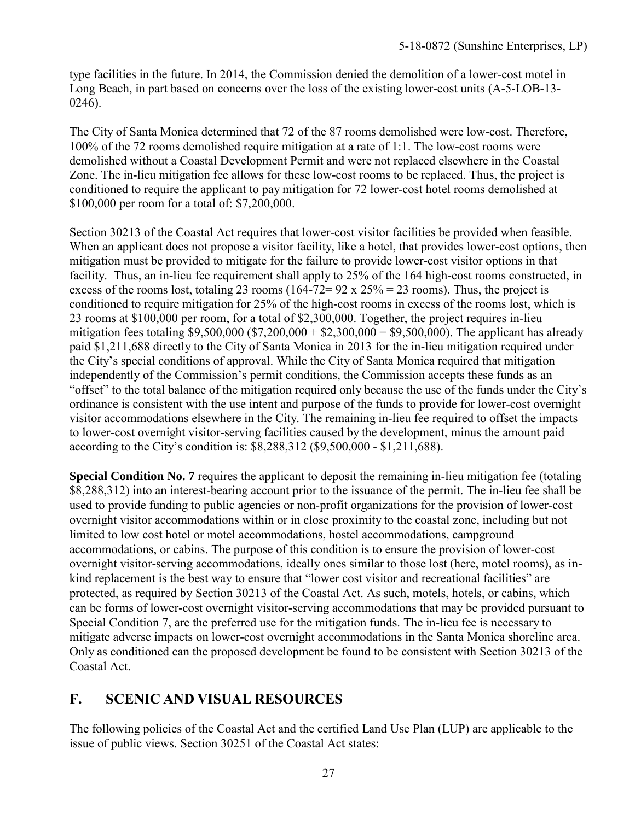type facilities in the future. In 2014, the Commission denied the demolition of a lower-cost motel in Long Beach, in part based on concerns over the loss of the existing lower-cost units (A-5-LOB-13- 0246).

The City of Santa Monica determined that 72 of the 87 rooms demolished were low-cost. Therefore, 100% of the 72 rooms demolished require mitigation at a rate of 1:1. The low-cost rooms were demolished without a Coastal Development Permit and were not replaced elsewhere in the Coastal Zone. The in-lieu mitigation fee allows for these low-cost rooms to be replaced. Thus, the project is conditioned to require the applicant to pay mitigation for 72 lower-cost hotel rooms demolished at \$100,000 per room for a total of: \$7,200,000.

Section 30213 of the Coastal Act requires that lower-cost visitor facilities be provided when feasible. When an applicant does not propose a visitor facility, like a hotel, that provides lower-cost options, then mitigation must be provided to mitigate for the failure to provide lower-cost visitor options in that facility. Thus, an in-lieu fee requirement shall apply to 25% of the 164 high-cost rooms constructed, in excess of the rooms lost, totaling 23 rooms (164-72=  $92 \times 25\% = 23$  rooms). Thus, the project is conditioned to require mitigation for 25% of the high-cost rooms in excess of the rooms lost, which is 23 rooms at \$100,000 per room, for a total of \$2,300,000. Together, the project requires in-lieu mitigation fees totaling \$9,500,000 (\$7,200,000 + \$2,300,000 = \$9,500,000). The applicant has already paid \$1,211,688 directly to the City of Santa Monica in 2013 for the in-lieu mitigation required under the City's special conditions of approval. While the City of Santa Monica required that mitigation independently of the Commission's permit conditions, the Commission accepts these funds as an "offset" to the total balance of the mitigation required only because the use of the funds under the City's ordinance is consistent with the use intent and purpose of the funds to provide for lower-cost overnight visitor accommodations elsewhere in the City. The remaining in-lieu fee required to offset the impacts to lower-cost overnight visitor-serving facilities caused by the development, minus the amount paid according to the City's condition is: \$8,288,312 (\$9,500,000 - \$1,211,688).

**Special Condition No. 7** requires the applicant to deposit the remaining in-lieu mitigation fee (totaling \$8,288,312) into an interest-bearing account prior to the issuance of the permit. The in-lieu fee shall be used to provide funding to public agencies or non-profit organizations for the provision of lower-cost overnight visitor accommodations within or in close proximity to the coastal zone, including but not limited to low cost hotel or motel accommodations, hostel accommodations, campground accommodations, or cabins. The purpose of this condition is to ensure the provision of lower-cost overnight visitor-serving accommodations, ideally ones similar to those lost (here, motel rooms), as inkind replacement is the best way to ensure that "lower cost visitor and recreational facilities" are protected, as required by Section 30213 of the Coastal Act. As such, motels, hotels, or cabins, which can be forms of lower-cost overnight visitor-serving accommodations that may be provided pursuant to Special Condition 7, are the preferred use for the mitigation funds. The in-lieu fee is necessary to mitigate adverse impacts on lower-cost overnight accommodations in the Santa Monica shoreline area. Only as conditioned can the proposed development be found to be consistent with Section 30213 of the Coastal Act.

## <span id="page-26-0"></span>**F. SCENIC AND VISUAL RESOURCES**

The following policies of the Coastal Act and the certified Land Use Plan (LUP) are applicable to the issue of public views. Section 30251 of the Coastal Act states: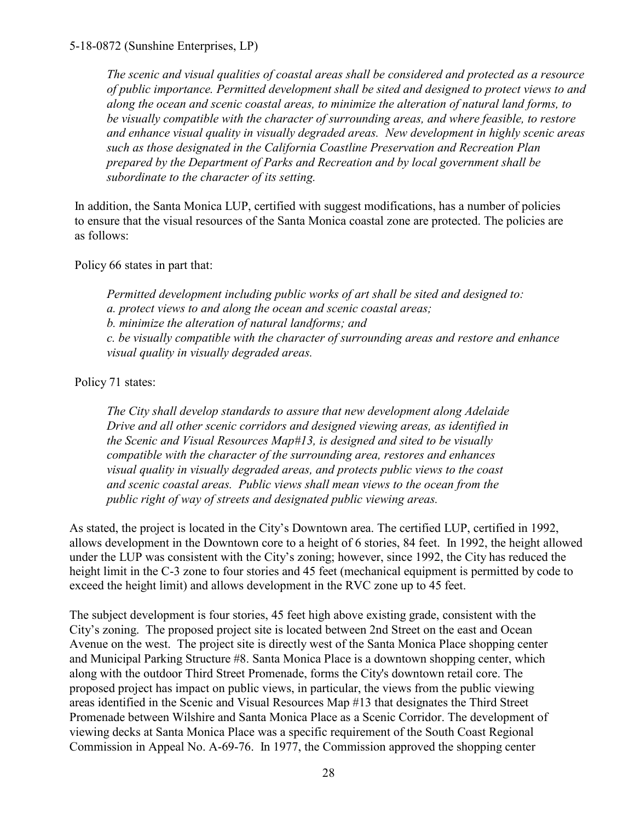*The scenic and visual qualities of coastal areas shall be considered and protected as a resource of public importance. Permitted development shall be sited and designed to protect views to and along the ocean and scenic coastal areas, to minimize the alteration of natural land forms, to be visually compatible with the character of surrounding areas, and where feasible, to restore and enhance visual quality in visually degraded areas. New development in highly scenic areas such as those designated in the California Coastline Preservation and Recreation Plan prepared by the Department of Parks and Recreation and by local government shall be subordinate to the character of its setting.*

In addition, the Santa Monica LUP, certified with suggest modifications, has a number of policies to ensure that the visual resources of the Santa Monica coastal zone are protected. The policies are as follows:

Policy 66 states in part that:

*Permitted development including public works of art shall be sited and designed to: a. protect views to and along the ocean and scenic coastal areas; b. minimize the alteration of natural landforms; and c. be visually compatible with the character of surrounding areas and restore and enhance visual quality in visually degraded areas.*

Policy 71 states:

*The City shall develop standards to assure that new development along Adelaide Drive and all other scenic corridors and designed viewing areas, as identified in the Scenic and Visual Resources Map#13, is designed and sited to be visually compatible with the character of the surrounding area, restores and enhances visual quality in visually degraded areas, and protects public views to the coast and scenic coastal areas. Public views shall mean views to the ocean from the public right of way of streets and designated public viewing areas.*

As stated, the project is located in the City's Downtown area. The certified LUP, certified in 1992, allows development in the Downtown core to a height of 6 stories, 84 feet. In 1992, the height allowed under the LUP was consistent with the City's zoning; however, since 1992, the City has reduced the height limit in the C-3 zone to four stories and 45 feet (mechanical equipment is permitted by code to exceed the height limit) and allows development in the RVC zone up to 45 feet.

The subject development is four stories, 45 feet high above existing grade, consistent with the City's zoning. The proposed project site is located between 2nd Street on the east and Ocean Avenue on the west. The project site is directly west of the Santa Monica Place shopping center and Municipal Parking Structure #8. Santa Monica Place is a downtown shopping center, which along with the outdoor Third Street Promenade, forms the City's downtown retail core. The proposed project has impact on public views, in particular, the views from the public viewing areas identified in the Scenic and Visual Resources Map #13 that designates the Third Street Promenade between Wilshire and Santa Monica Place as a Scenic Corridor. The development of viewing decks at Santa Monica Place was a specific requirement of the South Coast Regional Commission in Appeal No. A-69-76. In 1977, the Commission approved the shopping center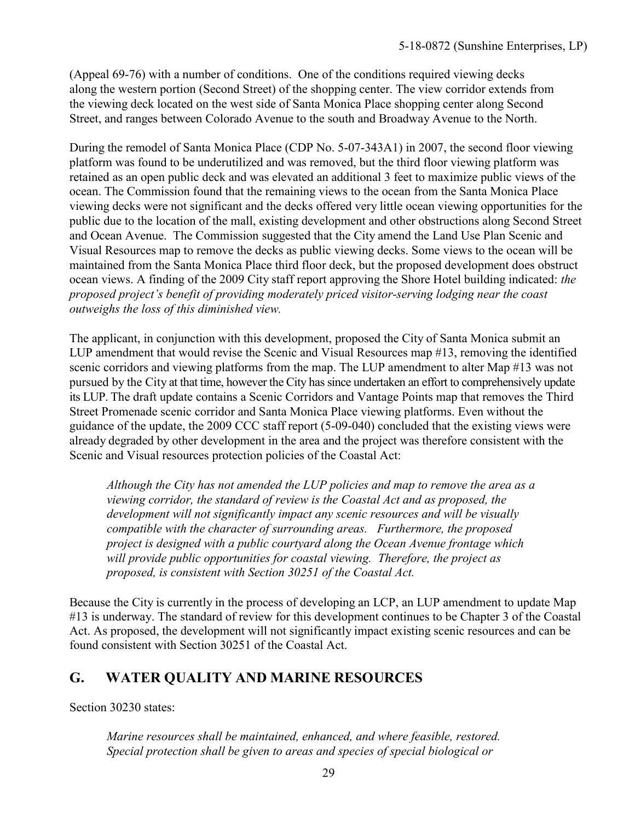(Appeal 69-76) with a number of conditions. One of the conditions required viewing decks along the western portion (Second Street) of the shopping center. The view corridor extends from the viewing deck located on the west side of Santa Monica Place shopping center along Second Street, and ranges between Colorado Avenue to the south and Broadway Avenue to the North.

During the remodel of Santa Monica Place (CDP No. 5-07-343A1) in 2007, the second floor viewing platform was found to be underutilized and was removed, but the third floor viewing platform was retained as an open public deck and was elevated an additional 3 feet to maximize public views of the ocean. The Commission found that the remaining views to the ocean from the Santa Monica Place viewing decks were not significant and the decks offered very little ocean viewing opportunities for the public due to the location of the mall, existing development and other obstructions along Second Street and Ocean Avenue. The Commission suggested that the City amend the Land Use Plan Scenic and Visual Resources map to remove the decks as public viewing decks. Some views to the ocean will be maintained from the Santa Monica Place third floor deck, but the proposed development does obstruct ocean views. A finding of the 2009 City staff report approving the Shore Hotel building indicated: *the proposed project's benefit of providing moderately priced visitor-serving lodging near the coast outweighs the loss of this diminished view.*

The applicant, in conjunction with this development, proposed the City of Santa Monica submit an LUP amendment that would revise the Scenic and Visual Resources map #13, removing the identified scenic corridors and viewing platforms from the map. The LUP amendment to alter Map #13 was not pursued by the City at that time, however the City has since undertaken an effort to comprehensively update its LUP. The draft update contains a Scenic Corridors and Vantage Points map that removes the Third Street Promenade scenic corridor and Santa Monica Place viewing platforms. Even without the guidance of the update, the 2009 CCC staff report (5-09-040) concluded that the existing views were already degraded by other development in the area and the project was therefore consistent with the Scenic and Visual resources protection policies of the Coastal Act:

*Although the City has not amended the LUP policies and map to remove the area as a viewing corridor, the standard of review is the Coastal Act and as proposed, the development will not significantly impact any scenic resources and will be visually compatible with the character of surrounding areas. Furthermore, the proposed project is designed with a public courtyard along the Ocean Avenue frontage which will provide public opportunities for coastal viewing. Therefore, the project as proposed, is consistent with Section 30251 of the Coastal Act.*

Because the City is currently in the process of developing an LCP, an LUP amendment to update Map #13 is underway. The standard of review for this development continues to be Chapter 3 of the Coastal Act. As proposed, the development will not significantly impact existing scenic resources and can be found consistent with Section 30251 of the Coastal Act.

### <span id="page-28-0"></span>**G. WATER QUALITY AND MARINE RESOURCES**

Section 30230 states:

*Marine resources shall be maintained, enhanced, and where feasible, restored. Special protection shall be given to areas and species of special biological or*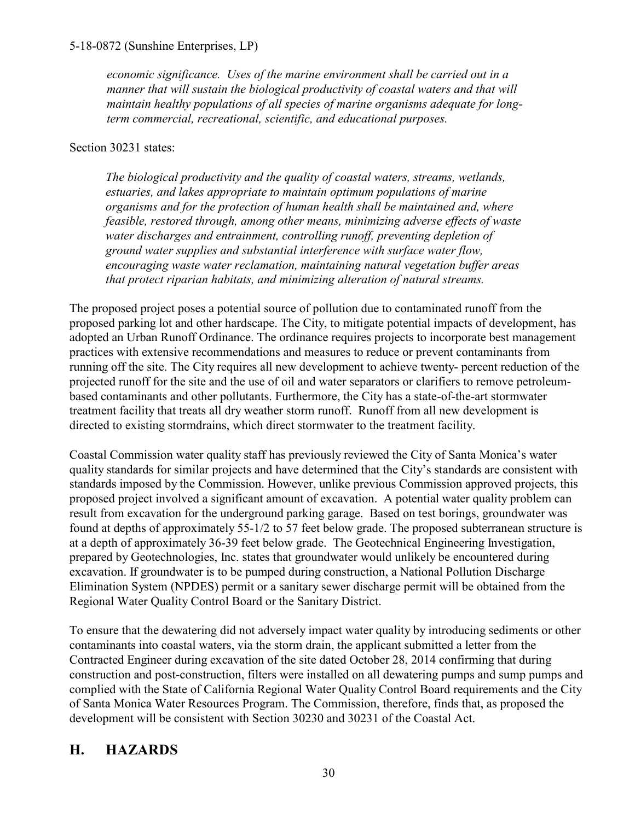*economic significance. Uses of the marine environment shall be carried out in a manner that will sustain the biological productivity of coastal waters and that will maintain healthy populations of all species of marine organisms adequate for longterm commercial, recreational, scientific, and educational purposes.*

Section 30231 states:

*The biological productivity and the quality of coastal waters, streams, wetlands, estuaries, and lakes appropriate to maintain optimum populations of marine organisms and for the protection of human health shall be maintained and, where feasible, restored through, among other means, minimizing adverse effects of waste water discharges and entrainment, controlling runoff, preventing depletion of ground water supplies and substantial interference with surface water flow, encouraging waste water reclamation, maintaining natural vegetation buffer areas that protect riparian habitats, and minimizing alteration of natural streams.*

The proposed project poses a potential source of pollution due to contaminated runoff from the proposed parking lot and other hardscape. The City, to mitigate potential impacts of development, has adopted an Urban Runoff Ordinance. The ordinance requires projects to incorporate best management practices with extensive recommendations and measures to reduce or prevent contaminants from running off the site. The City requires all new development to achieve twenty- percent reduction of the projected runoff for the site and the use of oil and water separators or clarifiers to remove petroleumbased contaminants and other pollutants. Furthermore, the City has a state-of-the-art stormwater treatment facility that treats all dry weather storm runoff. Runoff from all new development is directed to existing stormdrains, which direct stormwater to the treatment facility.

Coastal Commission water quality staff has previously reviewed the City of Santa Monica's water quality standards for similar projects and have determined that the City's standards are consistent with standards imposed by the Commission. However, unlike previous Commission approved projects, this proposed project involved a significant amount of excavation. A potential water quality problem can result from excavation for the underground parking garage. Based on test borings, groundwater was found at depths of approximately 55-1/2 to 57 feet below grade. The proposed subterranean structure is at a depth of approximately 36-39 feet below grade. The Geotechnical Engineering Investigation, prepared by Geotechnologies, Inc. states that groundwater would unlikely be encountered during excavation. If groundwater is to be pumped during construction, a National Pollution Discharge Elimination System (NPDES) permit or a sanitary sewer discharge permit will be obtained from the Regional Water Quality Control Board or the Sanitary District.

To ensure that the dewatering did not adversely impact water quality by introducing sediments or other contaminants into coastal waters, via the storm drain, the applicant submitted a letter from the Contracted Engineer during excavation of the site dated October 28, 2014 confirming that during construction and post-construction, filters were installed on all dewatering pumps and sump pumps and complied with the State of California Regional Water Quality Control Board requirements and the City of Santa Monica Water Resources Program. The Commission, therefore, finds that, as proposed the development will be consistent with Section 30230 and 30231 of the Coastal Act.

## <span id="page-29-0"></span>**H. HAZARDS**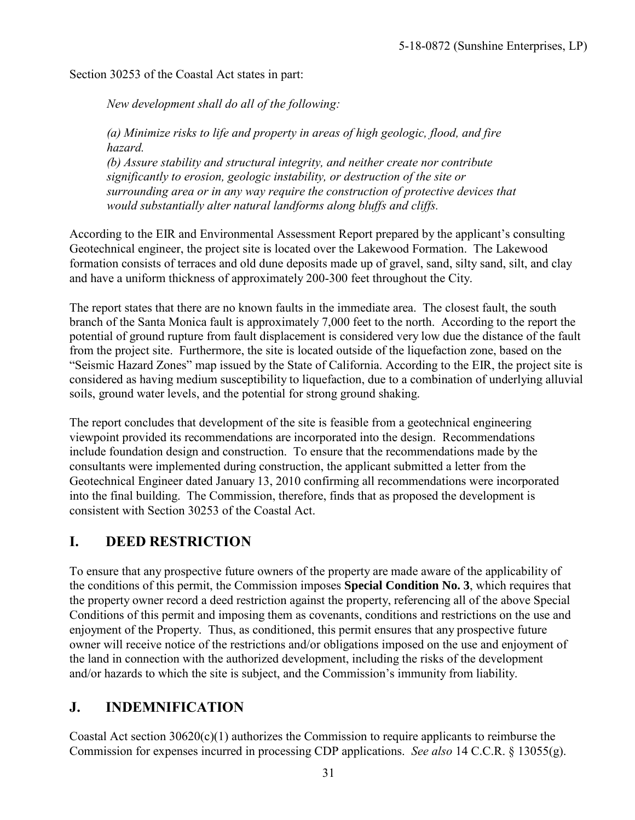Section 30253 of the Coastal Act states in part:

*New development shall do all of the following:*

*(a) Minimize risks to life and property in areas of high geologic, flood, and fire hazard.*

*(b) Assure stability and structural integrity, and neither create nor contribute significantly to erosion, geologic instability, or destruction of the site or surrounding area or in any way require the construction of protective devices that would substantially alter natural landforms along bluffs and cliffs.*

According to the EIR and Environmental Assessment Report prepared by the applicant's consulting Geotechnical engineer, the project site is located over the Lakewood Formation. The Lakewood formation consists of terraces and old dune deposits made up of gravel, sand, silty sand, silt, and clay and have a uniform thickness of approximately 200-300 feet throughout the City.

The report states that there are no known faults in the immediate area. The closest fault, the south branch of the Santa Monica fault is approximately 7,000 feet to the north. According to the report the potential of ground rupture from fault displacement is considered very low due the distance of the fault from the project site. Furthermore, the site is located outside of the liquefaction zone, based on the "Seismic Hazard Zones" map issued by the State of California. According to the EIR, the project site is considered as having medium susceptibility to liquefaction, due to a combination of underlying alluvial soils, ground water levels, and the potential for strong ground shaking.

The report concludes that development of the site is feasible from a geotechnical engineering viewpoint provided its recommendations are incorporated into the design. Recommendations include foundation design and construction. To ensure that the recommendations made by the consultants were implemented during construction, the applicant submitted a letter from the Geotechnical Engineer dated January 13, 2010 confirming all recommendations were incorporated into the final building. The Commission, therefore, finds that as proposed the development is consistent with Section 30253 of the Coastal Act.

# <span id="page-30-0"></span>**I. DEED RESTRICTION**

To ensure that any prospective future owners of the property are made aware of the applicability of the conditions of this permit, the Commission imposes **Special Condition No. 3**, which requires that the property owner record a deed restriction against the property, referencing all of the above Special Conditions of this permit and imposing them as covenants, conditions and restrictions on the use and enjoyment of the Property. Thus, as conditioned, this permit ensures that any prospective future owner will receive notice of the restrictions and/or obligations imposed on the use and enjoyment of the land in connection with the authorized development, including the risks of the development and/or hazards to which the site is subject, and the Commission's immunity from liability.

# <span id="page-30-1"></span>**J. INDEMNIFICATION**

Coastal Act section 30620(c)(1) authorizes the Commission to require applicants to reimburse the Commission for expenses incurred in processing CDP applications. *See also* 14 C.C.R. § 13055(g).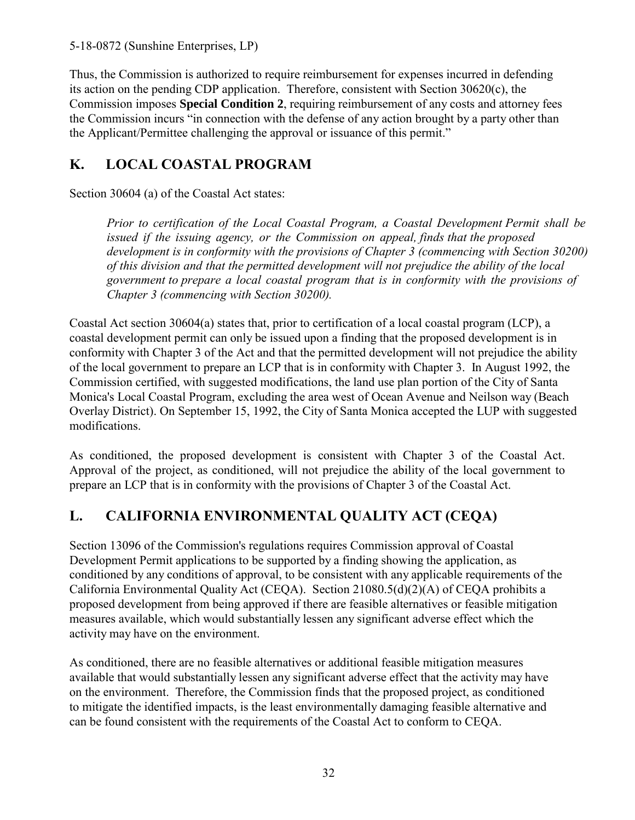Thus, the Commission is authorized to require reimbursement for expenses incurred in defending its action on the pending CDP application. Therefore, consistent with Section 30620(c), the Commission imposes **Special Condition 2**, requiring reimbursement of any costs and attorney fees the Commission incurs "in connection with the defense of any action brought by a party other than the Applicant/Permittee challenging the approval or issuance of this permit."

# <span id="page-31-0"></span>**K. LOCAL COASTAL PROGRAM**

Section 30604 (a) of the Coastal Act states:

*Prior to certification of the Local Coastal Program, a Coastal Development Permit shall be issued if the issuing agency, or the Commission on appeal, finds that the proposed development is in conformity with the provisions of Chapter 3 (commencing with Section 30200) of this division and that the permitted development will not prejudice the ability of the local government to prepare a local coastal program that is in conformity with the provisions of Chapter 3 (commencing with Section 30200).*

Coastal Act section 30604(a) states that, prior to certification of a local coastal program (LCP), a coastal development permit can only be issued upon a finding that the proposed development is in conformity with Chapter 3 of the Act and that the permitted development will not prejudice the ability of the local government to prepare an LCP that is in conformity with Chapter 3. In August 1992, the Commission certified, with suggested modifications, the land use plan portion of the City of Santa Monica's Local Coastal Program, excluding the area west of Ocean Avenue and Neilson way (Beach Overlay District). On September 15, 1992, the City of Santa Monica accepted the LUP with suggested modifications.

As conditioned, the proposed development is consistent with Chapter 3 of the Coastal Act. Approval of the project, as conditioned, will not prejudice the ability of the local government to prepare an LCP that is in conformity with the provisions of Chapter 3 of the Coastal Act.

# <span id="page-31-1"></span>**L. CALIFORNIA ENVIRONMENTAL QUALITY ACT (CEQA)**

Section 13096 of the Commission's regulations requires Commission approval of Coastal Development Permit applications to be supported by a finding showing the application, as conditioned by any conditions of approval, to be consistent with any applicable requirements of the California Environmental Quality Act (CEQA). Section 21080.5(d)(2)(A) of CEQA prohibits a proposed development from being approved if there are feasible alternatives or feasible mitigation measures available, which would substantially lessen any significant adverse effect which the activity may have on the environment.

As conditioned, there are no feasible alternatives or additional feasible mitigation measures available that would substantially lessen any significant adverse effect that the activity may have on the environment. Therefore, the Commission finds that the proposed project, as conditioned to mitigate the identified impacts, is the least environmentally damaging feasible alternative and can be found consistent with the requirements of the Coastal Act to conform to CEQA.